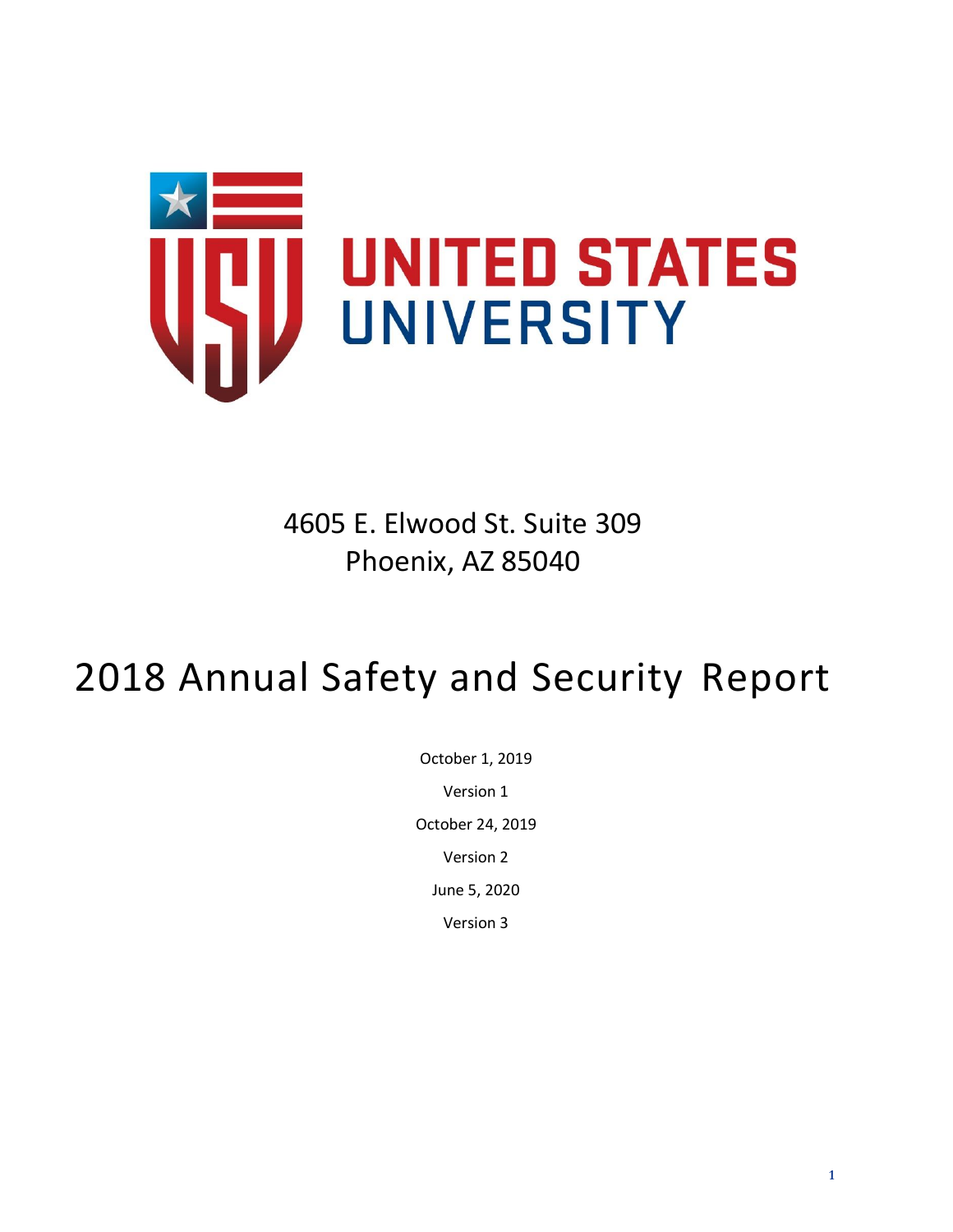

4605 E. Elwood St. Suite 309 Phoenix, AZ 85040

# 2018 Annual Safety and Security Report

October 1, 2019 Version 1 October 24, 2019 Version 2 June 5, 2020 Version 3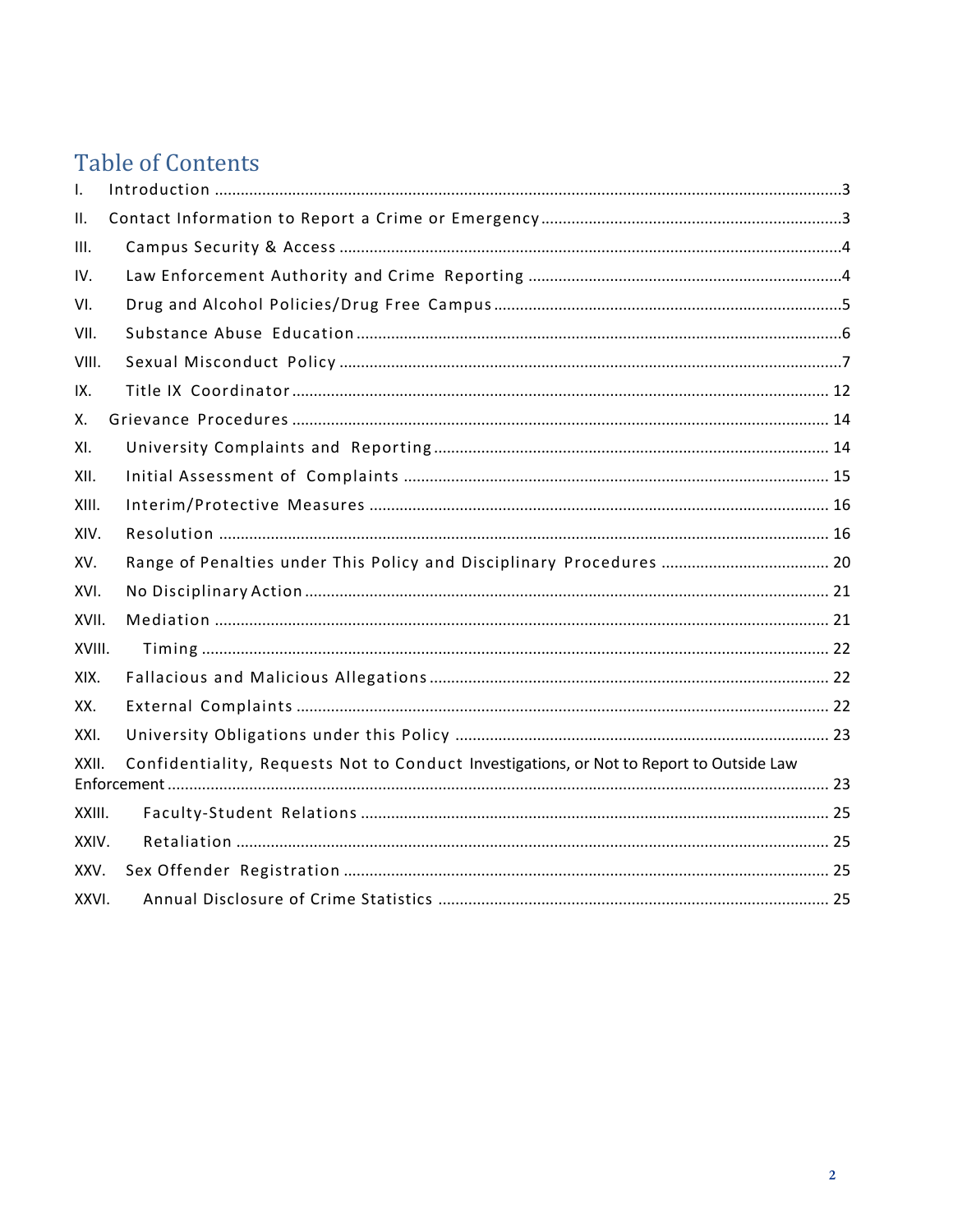### **Table of Contents**

| Ι.     |                                                                                          |
|--------|------------------------------------------------------------------------------------------|
| II.    |                                                                                          |
| III.   |                                                                                          |
| IV.    |                                                                                          |
| VI.    |                                                                                          |
| VII.   |                                                                                          |
| VIII.  |                                                                                          |
| IX.    |                                                                                          |
| Χ.     |                                                                                          |
| XI.    |                                                                                          |
| XII.   |                                                                                          |
| XIII.  |                                                                                          |
| XIV.   |                                                                                          |
| XV.    | Range of Penalties under This Policy and Disciplinary Procedures  20                     |
| XVI.   |                                                                                          |
| XVII.  |                                                                                          |
| XVIII. |                                                                                          |
| XIX.   |                                                                                          |
| XX.    |                                                                                          |
| XXI.   |                                                                                          |
| XXII.  | Confidentiality, Requests Not to Conduct Investigations, or Not to Report to Outside Law |
| XXIII. |                                                                                          |
| XXIV.  |                                                                                          |
| XXV.   |                                                                                          |
| XXVI.  |                                                                                          |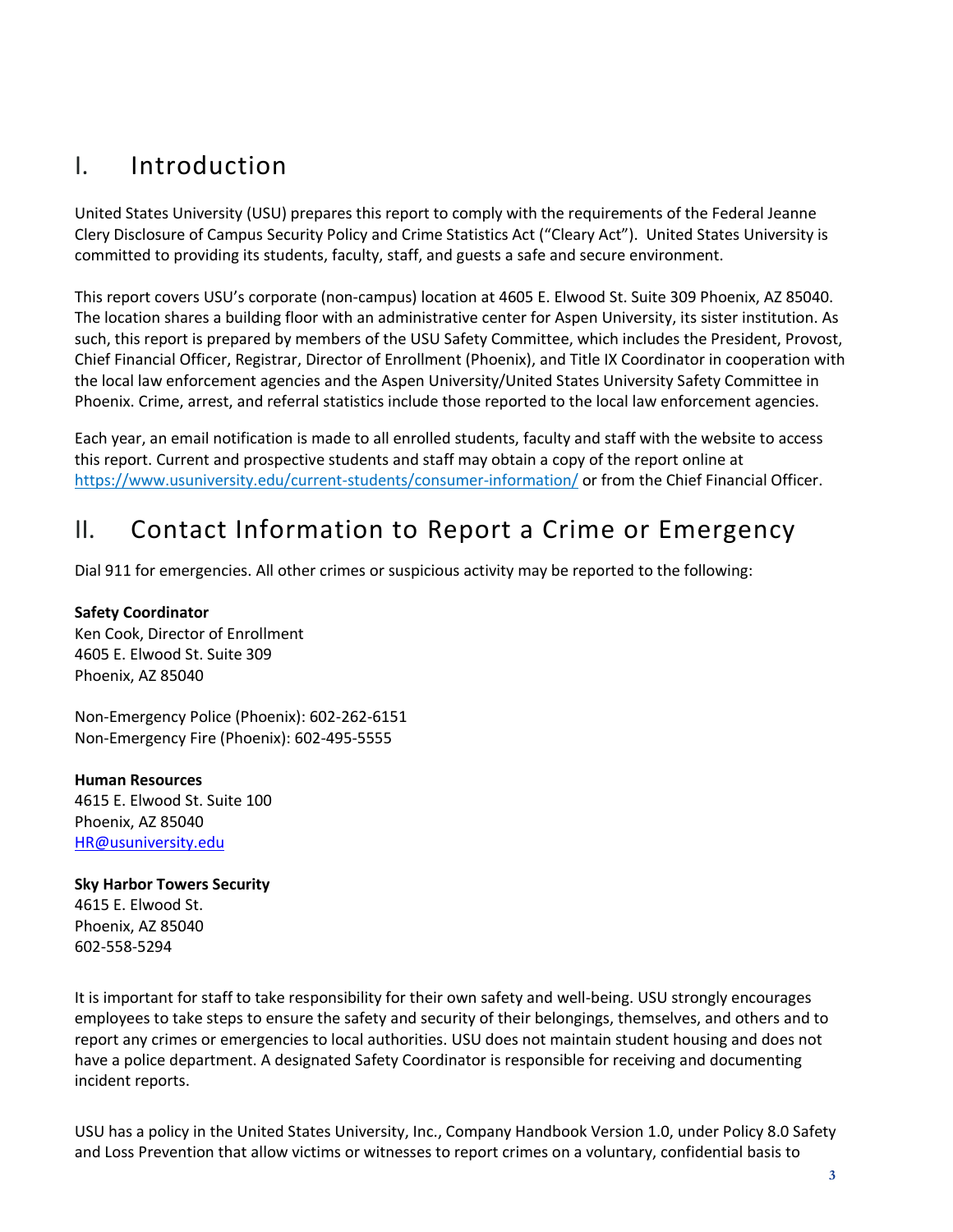### <span id="page-2-0"></span>I. Introduction

United States University (USU) prepares this report to comply with the requirements of the Federal Jeanne Clery Disclosure of Campus Security Policy and Crime Statistics Act ("Cleary Act"). United States University is committed to providing its students, faculty, staff, and guests a safe and secure environment.

This report covers USU's corporate (non-campus) location at 4605 E. Elwood St. Suite 309 Phoenix, AZ 85040. The location shares a building floor with an administrative center for Aspen University, its sister institution. As such, this report is prepared by members of the USU Safety Committee, which includes the President, Provost, Chief Financial Officer, Registrar, Director of Enrollment (Phoenix), and Title IX Coordinator in cooperation with the local law enforcement agencies and the Aspen University/United States University Safety Committee in Phoenix. Crime, arrest, and referral statistics include those reported to the local law enforcement agencies.

Each year, an email notification is made to all enrolled students, faculty and staff with the website to access this report. Current and prospective students and staff may obtain a copy of the report online at <https://www.usuniversity.edu/current-students/consumer-information/> or from the Chief Financial Officer.

### <span id="page-2-1"></span>II. Contact Information to Report a Crime or Emergency

Dial 911 for emergencies. All other crimes or suspicious activity may be reported to the following:

#### **Safety Coordinator**

Ken Cook, Director of Enrollment 4605 E. Elwood St. Suite 309 Phoenix, AZ 85040

Non-Emergency Police (Phoenix): 602-262-6151 Non-Emergency Fire (Phoenix): 602-495-5555

**Human Resources** 4615 E. Elwood St. Suite 100 Phoenix, AZ 85040 [HR@usuniversity.edu](mailto:HR@usuniversity.edu)

### **Sky Harbor Towers Security**

4615 E. Elwood St. Phoenix, AZ 85040 602-558-5294

It is important for staff to take responsibility for their own safety and well-being. USU strongly encourages employees to take steps to ensure the safety and security of their belongings, themselves, and others and to report any crimes or emergencies to local authorities. USU does not maintain student housing and does not have a police department. A designated Safety Coordinator is responsible for receiving and documenting incident reports.

USU has a policy in the United States University, Inc., Company Handbook Version 1.0, under Policy 8.0 Safety and Loss Prevention that allow victims or witnesses to report crimes on a voluntary, confidential basis to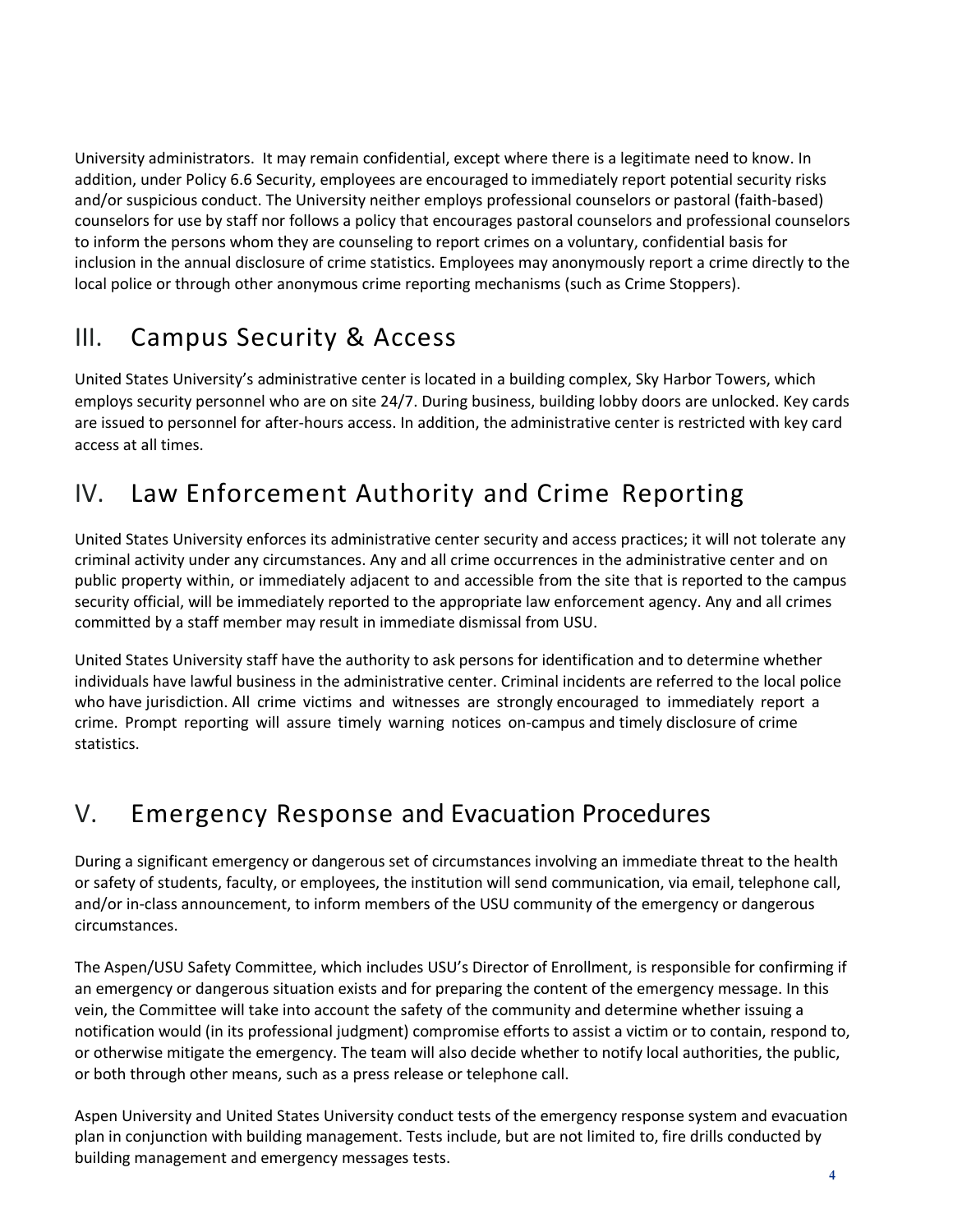University administrators. It may remain confidential, except where there is a legitimate need to know. In addition, under Policy 6.6 Security, employees are encouraged to immediately report potential security risks and/or suspicious conduct. The University neither employs professional counselors or pastoral (faith-based) counselors for use by staff nor follows a policy that encourages pastoral counselors and professional counselors to inform the persons whom they are counseling to report crimes on a voluntary, confidential basis for inclusion in the annual disclosure of crime statistics. Employees may anonymously report a crime directly to the local police or through other anonymous crime reporting mechanisms (such as Crime Stoppers).

### <span id="page-3-0"></span>III. Campus Security & Access

United States University's administrative center is located in a building complex, Sky Harbor Towers, which employs security personnel who are on site 24/7. During business, building lobby doors are unlocked. Key cards are issued to personnel for after-hours access. In addition, the administrative center is restricted with key card access at all times.

## <span id="page-3-1"></span>IV. Law Enforcement Authority and Crime Reporting

United States University enforces its administrative center security and access practices; it will not tolerate any criminal activity under any circumstances. Any and all crime occurrences in the administrative center and on public property within, or immediately adjacent to and accessible from the site that is reported to the campus security official, will be immediately reported to the appropriate law enforcement agency. Any and all crimes committed by a staff member may result in immediate dismissal from USU.

United States University staff have the authority to ask persons for identification and to determine whether individuals have lawful business in the administrative center. Criminal incidents are referred to the local police who have jurisdiction. All crime victims and witnesses are strongly encouraged to immediately report a crime. Prompt reporting will assure timely warning notices on‐campus and timely disclosure of crime statistics.

### V. Emergency Response and Evacuation Procedures

During a significant emergency or dangerous set of circumstances involving an immediate threat to the health or safety of students, faculty, or employees, the institution will send communication, via email, telephone call, and/or in-class announcement, to inform members of the USU community of the emergency or dangerous circumstances.

The Aspen/USU Safety Committee, which includes USU's Director of Enrollment, is responsible for confirming if an emergency or dangerous situation exists and for preparing the content of the emergency message. In this vein, the Committee will take into account the safety of the community and determine whether issuing a notification would (in its professional judgment) compromise efforts to assist a victim or to contain, respond to, or otherwise mitigate the emergency. The team will also decide whether to notify local authorities, the public, or both through other means, such as a press release or telephone call.

Aspen University and United States University conduct tests of the emergency response system and evacuation plan in conjunction with building management. Tests include, but are not limited to, fire drills conducted by building management and emergency messages tests.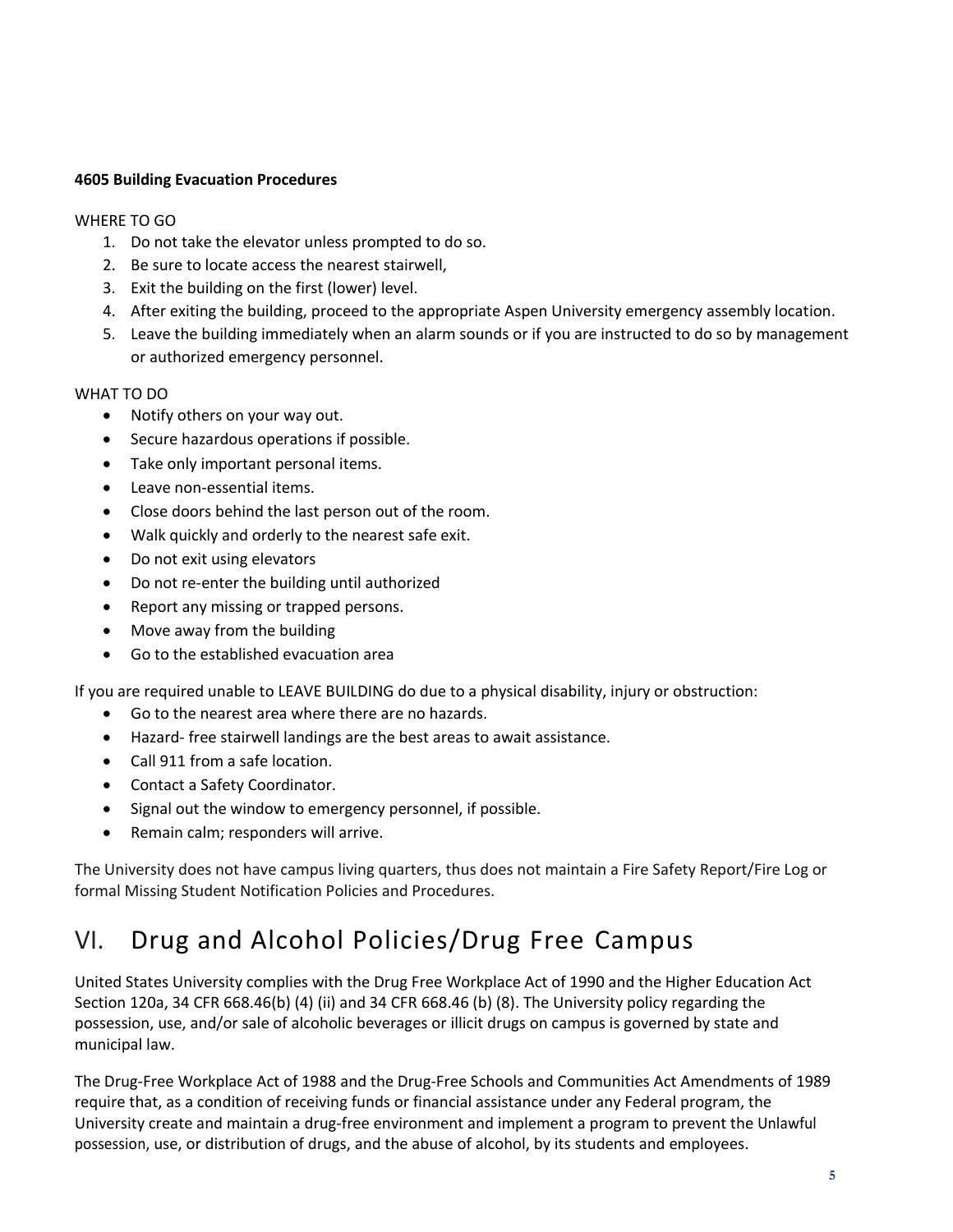#### **4605 Building Evacuation Procedures**

#### WHERE TO GO

- 1. Do not take the elevator unless prompted to do so.
- 2. Be sure to locate access the nearest stairwell,
- 3. Exit the building on the first (lower) level.
- 4. After exiting the building, proceed to the appropriate Aspen University emergency assembly location.
- 5. Leave the building immediately when an alarm sounds or if you are instructed to do so by management or authorized emergency personnel.

#### WHAT TO DO

- Notify others on your way out.
- Secure hazardous operations if possible.
- Take only important personal items.
- Leave non-essential items.
- Close doors behind the last person out of the room.
- Walk quickly and orderly to the nearest safe exit.
- Do not exit using elevators
- Do not re-enter the building until authorized
- Report any missing or trapped persons.
- Move away from the building
- Go to the established evacuation area

If you are required unable to LEAVE BUILDING do due to a physical disability, injury or obstruction:

- Go to the nearest area where there are no hazards.
- Hazard- free stairwell landings are the best areas to await assistance.
- Call 911 from a safe location.
- Contact a Safety Coordinator.
- Signal out the window to emergency personnel, if possible.
- Remain calm; responders will arrive.

The University does not have campus living quarters, thus does not maintain a Fire Safety Report/Fire Log or formal Missing Student Notification Policies and Procedures.

# <span id="page-4-0"></span>VI. Drug and Alcohol Policies/Drug Free Campus

United States University complies with the Drug Free Workplace Act of 1990 and the Higher Education Act Section 120a, 34 CFR 668.46(b) (4) (ii) and 34 CFR 668.46 (b) (8). The University policy regarding the possession, use, and/or sale of alcoholic beverages or illicit drugs on campus is governed by state and municipal law.

The Drug‐Free Workplace Act of 1988 and the Drug‐Free Schools and Communities Act Amendments of 1989 require that, as a condition of receiving funds or financial assistance under any Federal program, the University create and maintain a drug‐free environment and implement a program to prevent the Unlawful possession, use, or distribution of drugs, and the abuse of alcohol, by its students and employees.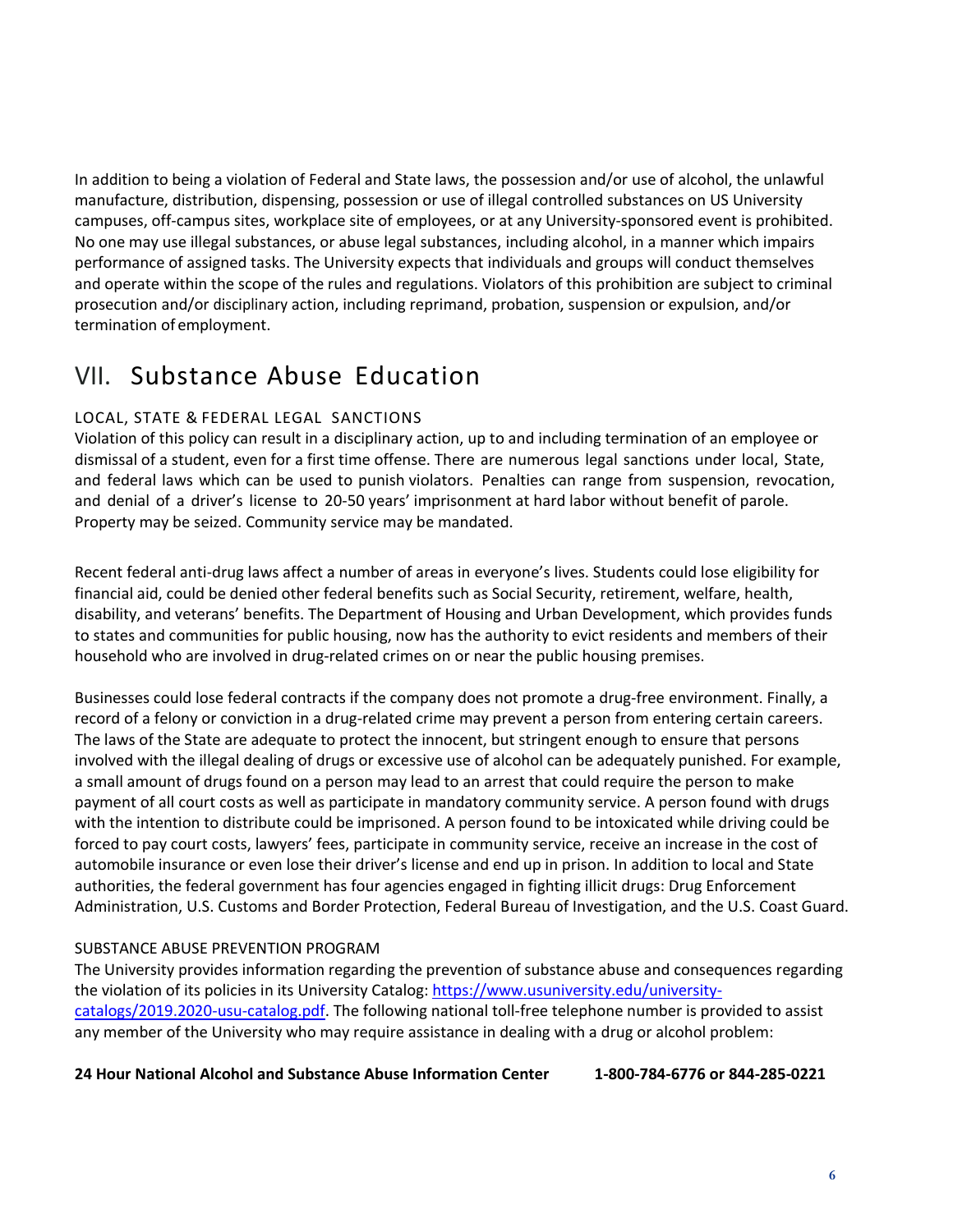In addition to being a violation of Federal and State laws, the possession and/or use of alcohol, the unlawful manufacture, distribution, dispensing, possession or use of illegal controlled substances on US University campuses, off-campus sites, workplace site of employees, or at any University-sponsored event is prohibited. No one may use illegal substances, or abuse legal substances, including alcohol, in a manner which impairs performance of assigned tasks. The University expects that individuals and groups will conduct themselves and operate within the scope of the rules and regulations. Violators of this prohibition are subject to criminal prosecution and/or disciplinary action, including reprimand, probation, suspension or expulsion, and/or termination of employment.

### <span id="page-5-0"></span>VII. Substance Abuse Education

### LOCAL, STATE & FEDERAL LEGAL SANCTIONS

Violation of this policy can result in a disciplinary action, up to and including termination of an employee or dismissal of a student, even for a first time offense. There are numerous legal sanctions under local, State, and federal laws which can be used to punish violators. Penalties can range from suspension, revocation, and denial of a driver's license to 20‐50 years' imprisonment at hard labor without benefit of parole. Property may be seized. Community service may be mandated.

Recent federal anti-drug laws affect a number of areas in everyone's lives. Students could lose eligibility for financial aid, could be denied other federal benefits such as Social Security, retirement, welfare, health, disability, and veterans' benefits. The Department of Housing and Urban Development, which provides funds to states and communities for public housing, now has the authority to evict residents and members of their household who are involved in drug‐related crimes on or near the public housing premises.

Businesses could lose federal contracts if the company does not promote a drug‐free environment. Finally, a record of a felony or conviction in a drug-related crime may prevent a person from entering certain careers. The laws of the State are adequate to protect the innocent, but stringent enough to ensure that persons involved with the illegal dealing of drugs or excessive use of alcohol can be adequately punished. For example, a small amount of drugs found on a person may lead to an arrest that could require the person to make payment of all court costs as well as participate in mandatory community service. A person found with drugs with the intention to distribute could be imprisoned. A person found to be intoxicated while driving could be forced to pay court costs, lawyers' fees, participate in community service, receive an increase in the cost of automobile insurance or even lose their driver's license and end up in prison. In addition to local and State authorities, the federal government has four agencies engaged in fighting illicit drugs: Drug Enforcement Administration, U.S. Customs and Border Protection, Federal Bureau of Investigation, and the U.S. Coast Guard.

#### SUBSTANCE ABUSE PREVENTION PROGRAM

The University provides information regarding the prevention of substance abuse and consequences regarding the violation of its policies in its University Catalog: [https://www.usuniversity.edu/university](https://www.usuniversity.edu/university-catalogs/2019.2020-usu-catalog.pdf)[catalogs/2019.2020-usu-catalog.pdf.](https://www.usuniversity.edu/university-catalogs/2019.2020-usu-catalog.pdf) The following national toll-free telephone number is provided to assist any member of the University who may require assistance in dealing with a drug or alcohol problem:

**24 Hour National Alcohol and Substance Abuse Information Center 1-800-784-6776 or 844-285-0221**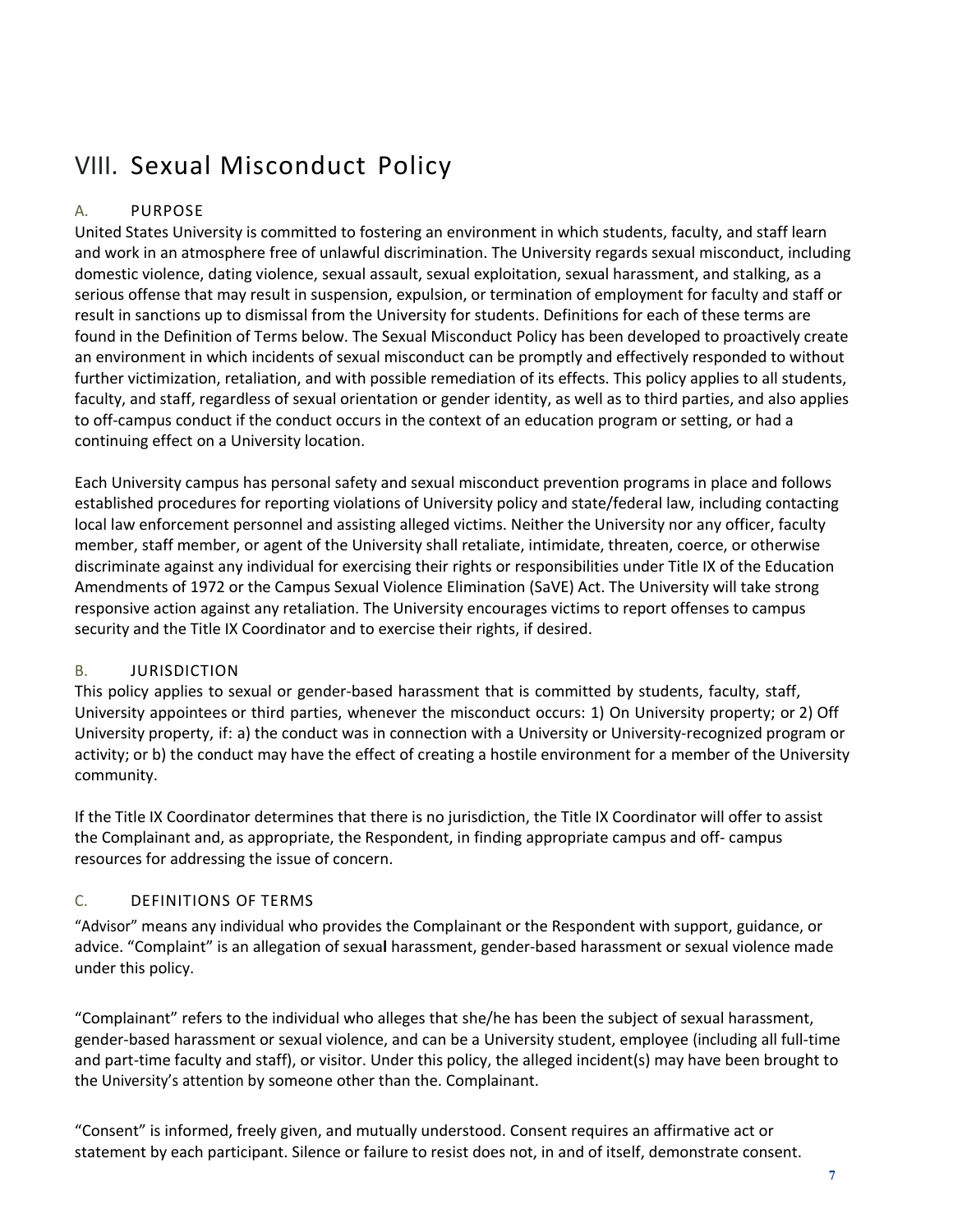# <span id="page-6-0"></span>VIII. Sexual Misconduct Policy

### A. PURPOSE

United States University is committed to fostering an environment in which students, faculty, and staff learn and work in an atmosphere free of unlawful discrimination. The University regards sexual misconduct, including domestic violence, dating violence, sexual assault, sexual exploitation, sexual harassment, and stalking, as a serious offense that may result in suspension, expulsion, or termination of employment for faculty and staff or result in sanctions up to dismissal from the University for students. Definitions for each of these terms are found in the Definition of Terms below. The Sexual Misconduct Policy has been developed to proactively create an environment in which incidents of sexual misconduct can be promptly and effectively responded to without further victimization, retaliation, and with possible remediation of its effects. This policy applies to all students, faculty, and staff, regardless of sexual orientation or gender identity, as well as to third parties, and also applies to off‐campus conduct if the conduct occurs in the context of an education program or setting, or had a continuing effect on a University location.

Each University campus has personal safety and sexual misconduct prevention programs in place and follows established procedures for reporting violations of University policy and state/federal law, including contacting local law enforcement personnel and assisting alleged victims. Neither the University nor any officer, faculty member, staff member, or agent of the University shall retaliate, intimidate, threaten, coerce, or otherwise discriminate against any individual for exercising their rights or responsibilities under Title IX of the Education Amendments of 1972 or the Campus Sexual Violence Elimination (SaVE) Act. The University will take strong responsive action against any retaliation. The University encourages victims to report offenses to campus security and the Title IX Coordinator and to exercise their rights, if desired.

### B. JURISDICTION

This policy applies to sexual or gender‐based harassment that is committed by students, faculty, staff, University appointees or third parties, whenever the misconduct occurs: 1) On University property; or 2) Off University property, if: a) the conduct was in connection with a University or University‐recognized program or activity; or b) the conduct may have the effect of creating a hostile environment for a member of the University community.

If the Title IX Coordinator determines that there is no jurisdiction, the Title IX Coordinator will offer to assist the Complainant and, as appropriate, the Respondent, in finding appropriate campus and off‐ campus resources for addressing the issue of concern.

### C. DEFINITIONS OF TERMS

"Advisor" means any individual who provides the Complainant or the Respondent with support, guidance, or advice. "Complaint" is an allegation of sexua**l** harassment, gender‐based harassment or sexual violence made under this policy.

"Complainant" refers to the individual who alleges that she/he has been the subject of sexual harassment, gender‐based harassment or sexual violence, and can be a University student, employee (including all full‐time and part-time faculty and staff), or visitor. Under this policy, the alleged incident(s) may have been brought to the University's attention by someone other than the. Complainant.

"Consent" is informed, freely given, and mutually understood. Consent requires an affirmative act or statement by each participant. Silence or failure to resist does not, in and of itself, demonstrate consent.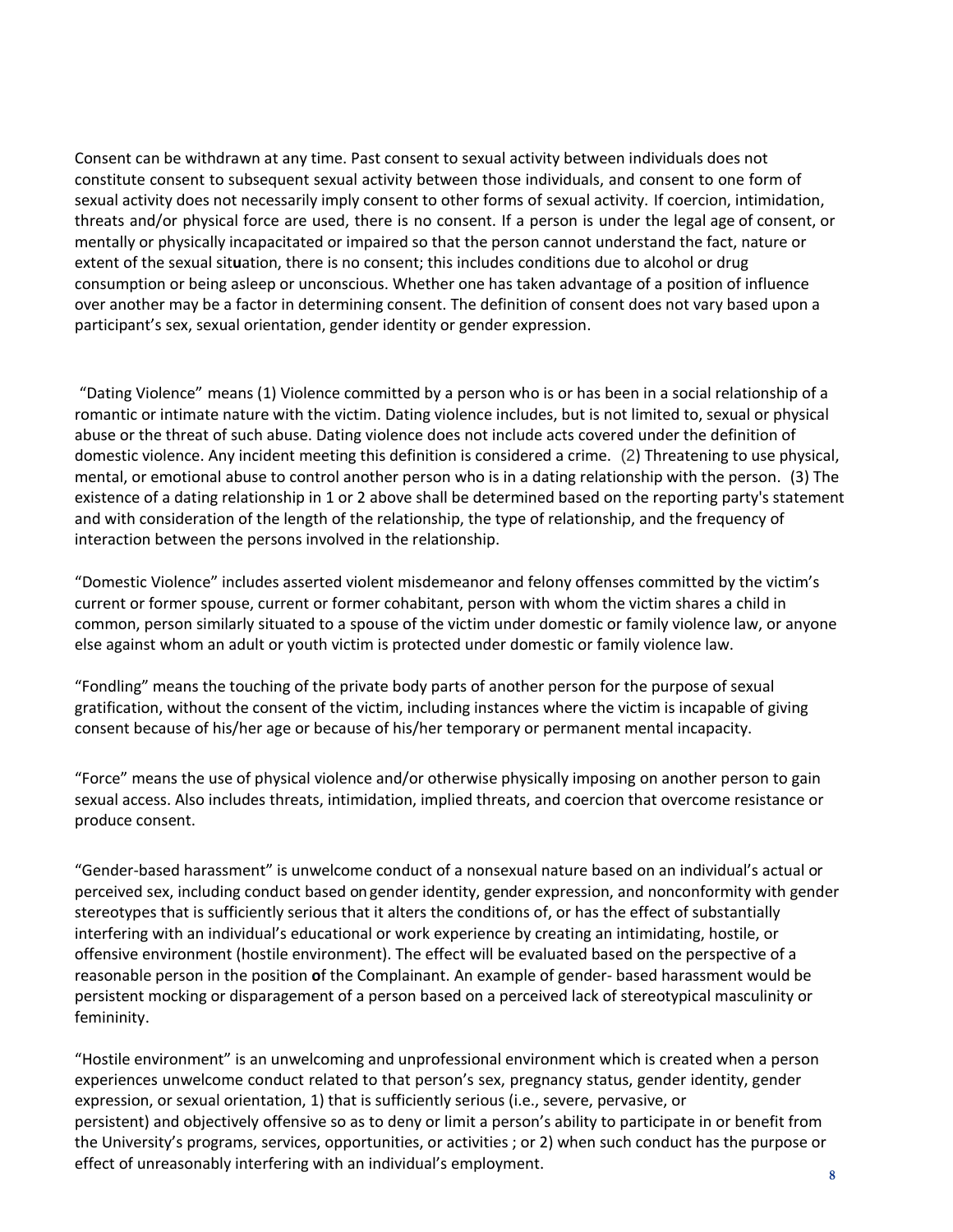Consent can be withdrawn at any time. Past consent to sexual activity between individuals does not constitute consent to subsequent sexual activity between those individuals, and consent to one form of sexual activity does not necessarily imply consent to other forms of sexual activity. If coercion, intimidation, threats and/or physical force are used, there is no consent. If a person is under the legal age of consent, or mentally or physically incapacitated or impaired so that the person cannot understand the fact, nature or extent of the sexual sit**u**ation, there is no consent; this includes conditions due to alcohol or drug consumption or being asleep or unconscious. Whether one has taken advantage of a position of influence over another may be a factor in determining consent. The definition of consent does not vary based upon a participant's sex, sexual orientation, gender identity or gender expression.

"Dating Violence" means (1) Violence committed by a person who is or has been in a social relationship of a romantic or intimate nature with the victim. Dating violence includes, but is not limited to, sexual or physical abuse or the threat of such abuse. Dating violence does not include acts covered under the definition of domestic violence. Any incident meeting this definition is considered a crime. (2) Threatening to use physical, mental, or emotional abuse to control another person who is in a dating relationship with the person. (3) The existence of a dating relationship in 1 or 2 above shall be determined based on the reporting party's statement and with consideration of the length of the relationship, the type of relationship, and the frequency of interaction between the persons involved in the relationship.

"Domestic Violence" includes asserted violent misdemeanor and felony offenses committed by the victim's current or former spouse, current or former cohabitant, person with whom the victim shares a child in common, person similarly situated to a spouse of the victim under domestic or family violence law, or anyone else against whom an adult or youth victim is protected under domestic or family violence law.

"Fondling" means the touching of the private body parts of another person for the purpose of sexual gratification, without the consent of the victim, including instances where the victim is incapable of giving consent because of his/her age or because of his/her temporary or permanent mental incapacity.

"Force" means the use of physical violence and/or otherwise physically imposing on another person to gain sexual access. Also includes threats, intimidation, implied threats, and coercion that overcome resistance or produce consent.

"Gender‐based harassment" is unwelcome conduct of a nonsexual nature based on an individual's actual or perceived sex, including conduct based on gender identity, gender expression, and nonconformity with gender stereotypes that is sufficiently serious that it alters the conditions of, or has the effect of substantially interfering with an individual's educational or work experience by creating an intimidating, hostile, or offensive environment (hostile environment). The effect will be evaluated based on the perspective of a reasonable person in the position **o**f the Complainant. An example of gender‐ based harassment would be persistent mocking or disparagement of a person based on a perceived lack of stereotypical masculinity or femininity.

"Hostile environment" is an unwelcoming and unprofessional environment which is created when a person experiences unwelcome conduct related to that person's sex, pregnancy status, gender identity, gender expression, or sexual orientation, 1) that is sufficiently serious (i.e., severe, pervasive, or persistent) and objectively offensive so as to deny or limit a person's ability to participate in or benefit from the University's programs, services, opportunities, or activities ; or 2) when such conduct has the purpose or effect of unreasonably interfering with an individual's employment.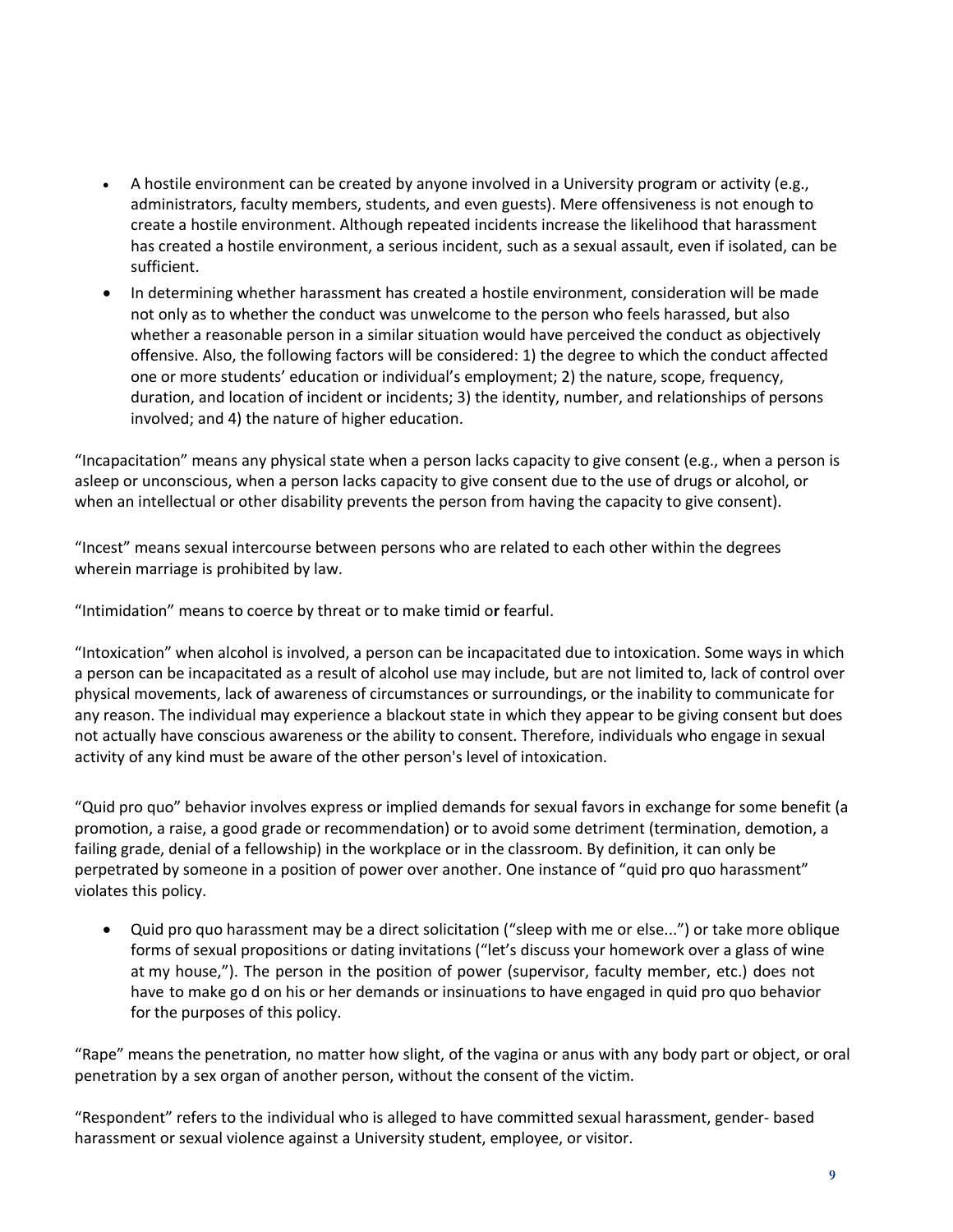- A hostile environment can be created by anyone involved in a University program or activity (e.g., administrators, faculty members, students, and even guests). Mere offensiveness is not enough to create a hostile environment. Although repeated incidents increase the likelihood that harassment has created a hostile environment, a serious incident, such as a sexual assault, even if isolated, can be sufficient.
- In determining whether harassment has created a hostile environment, consideration will be made not only as to whether the conduct was unwelcome to the person who feels harassed, but also whether a reasonable person in a similar situation would have perceived the conduct as objectively offensive. Also, the following factors will be considered: 1) the degree to which the conduct affected one or more students' education or individual's employment; 2) the nature, scope, frequency, duration, and location of incident or incidents; 3) the identity, number, and relationships of persons involved; and 4) the nature of higher education.

"Incapacitation" means any physical state when a person lacks capacity to give consent (e.g., when a person is asleep or unconscious, when a person lacks capacity to give consent due to the use of drugs or alcohol, or when an intellectual or other disability prevents the person from having the capacity to give consent).

"Incest" means sexual intercourse between persons who are related to each other within the degrees wherein marriage is prohibited by law.

"Intimidation" means to coerce by threat or to make timid o**r** fearful.

"Intoxication" when alcohol is involved, a person can be incapacitated due to intoxication. Some ways in which a person can be incapacitated as a result of alcohol use may include, but are not limited to, lack of control over physical movements, lack of awareness of circumstances or surroundings, or the inability to communicate for any reason. The individual may experience a blackout state in which they appear to be giving consent but does not actually have conscious awareness or the ability to consent. Therefore, individuals who engage in sexual activity of any kind must be aware of the other person's level of intoxication.

"Quid pro quo" behavior involves express or implied demands for sexual favors in exchange for some benefit (a promotion, a raise, a good grade or recommendation) or to avoid some detriment (termination, demotion, a failing grade, denial of a fellowship) in the workplace or in the classroom. By definition, it can only be perpetrated by someone in a position of power over another. One instance of "quid pro quo harassment" violates this policy.

 Quid pro quo harassment may be a direct solicitation ("sleep with me or else...") or take more oblique forms of sexual propositions or dating invitations ("let's discuss your homework over a glass of wine at my house,"). The person in the position of power (supervisor, faculty member, etc.) does not have to make go d on his or her demands or insinuations to have engaged in quid pro quo behavior for the purposes of this policy.

"Rape" means the penetration, no matter how slight, of the vagina or anus with any body part or object, or oral penetration by a sex organ of another person, without the consent of the victim.

"Respondent" refers to the individual who is alleged to have committed sexual harassment, gender‐ based harassment or sexual violence against a University student, employee, or visitor.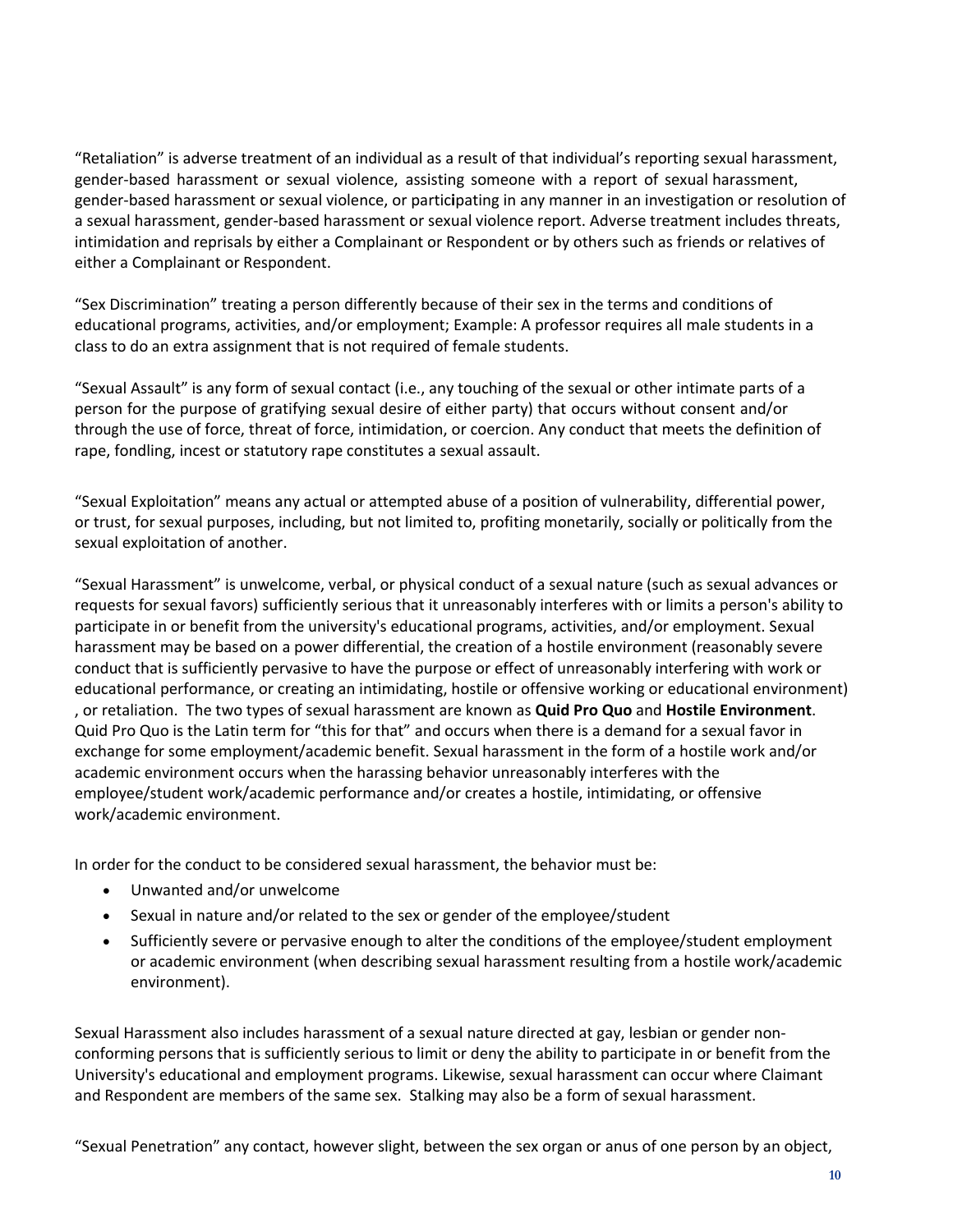"Retaliation" is adverse treatment of an individual as a result of that individual's reporting sexual harassment, gender‐based harassment or sexual violence, assisting someone with a report of sexual harassment, gender‐based harassment or sexual violence, or partic**i**pating in any manner in an investigation or resolution of a sexual harassment, gender‐based harassment or sexual violence report. Adverse treatment includes threats, intimidation and reprisals by either a Complainant or Respondent or by others such as friends or relatives of either a Complainant or Respondent.

"Sex Discrimination" treating a person differently because of their sex in the terms and conditions of educational programs, activities, and/or employment; Example: A professor requires all male students in a class to do an extra assignment that is not required of female students.

"Sexual Assault" is any form of sexual contact (i.e., any touching of the sexual or other intimate parts of a person for the purpose of gratifying sexual desire of either party) that occurs without consent and/or through the use of force, threat of force, intimidation, or coercion. Any conduct that meets the definition of rape, fondling, incest or statutory rape constitutes a sexual assault.

"Sexual Exploitation" means any actual or attempted abuse of a position of vulnerability, differential power, or trust, for sexual purposes, including, but not limited to, profiting monetarily, socially or politically from the sexual exploitation of another.

"Sexual Harassment" is unwelcome, verbal, or physical conduct of a sexual nature (such as sexual advances or requests for sexual favors) sufficiently serious that it unreasonably interferes with or limits a person's ability to participate in or benefit from the university's educational programs, activities, and/or employment. Sexual harassment may be based on a power differential, the creation of a hostile environment (reasonably severe conduct that is sufficiently pervasive to have the purpose or effect of unreasonably interfering with work or educational performance, or creating an intimidating, hostile or offensive working or educational environment) , or retaliation. The two types of sexual harassment are known as **Quid Pro Quo** and **Hostile Environment**. Quid Pro Quo is the Latin term for "this for that" and occurs when there is a demand for a sexual favor in exchange for some employment/academic benefit. Sexual harassment in the form of a hostile work and/or academic environment occurs when the harassing behavior unreasonably interferes with the employee/student work/academic performance and/or creates a hostile, intimidating, or offensive work/academic environment.

In order for the conduct to be considered sexual harassment, the behavior must be:

- Unwanted and/or unwelcome
- Sexual in nature and/or related to the sex or gender of the employee/student
- Sufficiently severe or pervasive enough to alter the conditions of the employee/student employment or academic environment (when describing sexual harassment resulting from a hostile work/academic environment).

Sexual Harassment also includes harassment of a sexual nature directed at gay, lesbian or gender nonconforming persons that is sufficiently serious to limit or deny the ability to participate in or benefit from the University's educational and employment programs. Likewise, sexual harassment can occur where Claimant and Respondent are members of the same sex. Stalking may also be a form of sexual harassment.

"Sexual Penetration" any contact, however slight, between the sex organ or anus of one person by an object,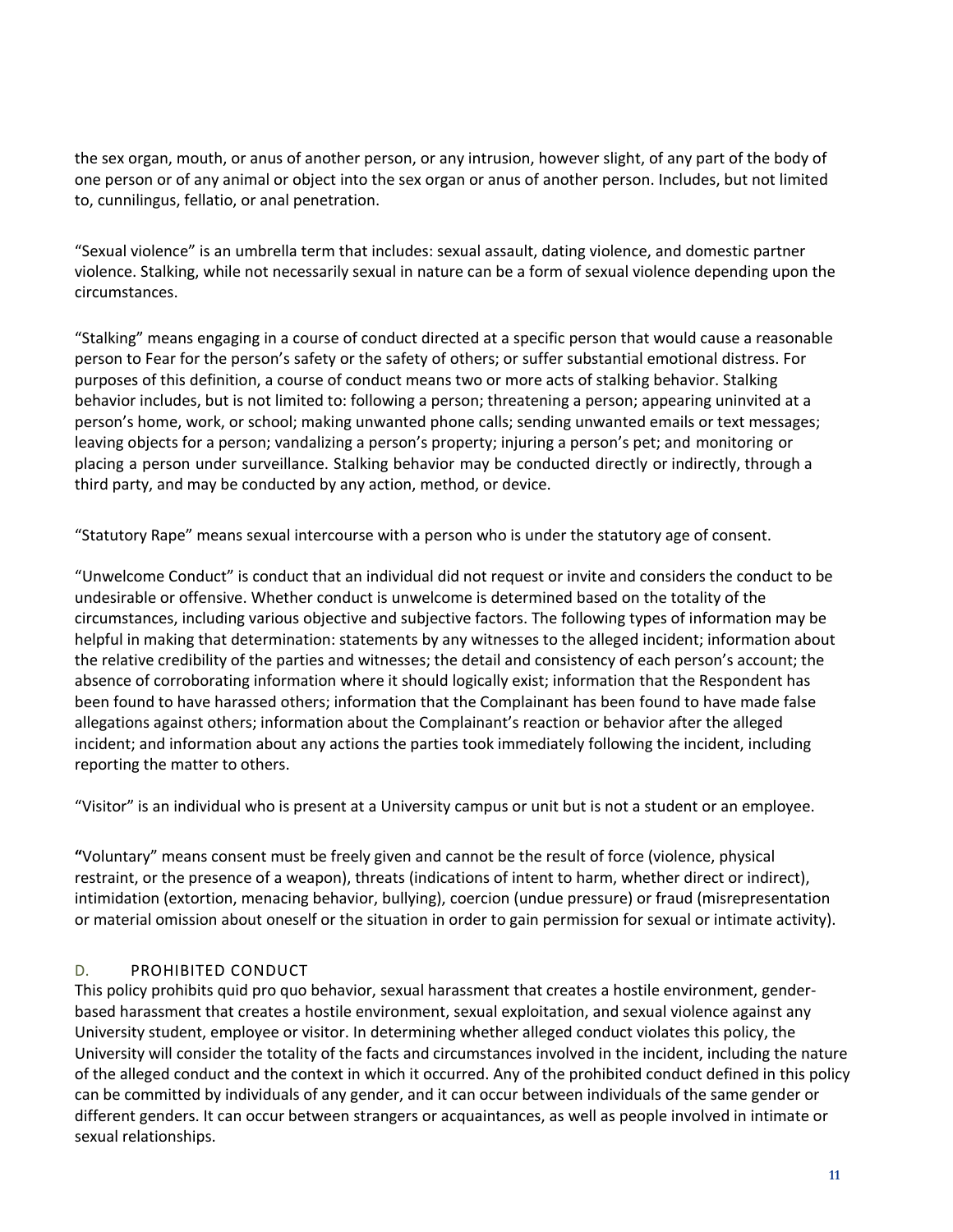the sex organ, mouth, or anus of another person, or any intrusion, however slight, of any part of the body of one person or of any animal or object into the sex organ or anus of another person. Includes, but not limited to, cunnilingus, fellatio, or anal penetration.

"Sexual violence" is an umbrella term that includes: sexual assault, dating violence, and domestic partner violence. Stalking, while not necessarily sexual in nature can be a form of sexual violence depending upon the circumstances.

"Stalking" means engaging in a course of conduct directed at a specific person that would cause a reasonable person to Fear for the person's safety or the safety of others; or suffer substantial emotional distress. For purposes of this definition, a course of conduct means two or more acts of stalking behavior. Stalking behavior includes, but is not limited to: following a person; threatening a person; appearing uninvited at a person's home, work, or school; making unwanted phone calls; sending unwanted emails or text messages; leaving objects for a person; vandalizing a person's property; injuring a person's pet; and monitoring or placing a person under surveillance. Stalking behavior may be conducted directly or indirectly, through a third party, and may be conducted by any action, method, or device.

"Statutory Rape" means sexual intercourse with a person who is under the statutory age of consent.

"Unwelcome Conduct" is conduct that an individual did not request or invite and considers the conduct to be undesirable or offensive. Whether conduct is unwelcome is determined based on the totality of the circumstances, including various objective and subjective factors. The following types of information may be helpful in making that determination: statements by any witnesses to the alleged incident; information about the relative credibility of the parties and witnesses; the detail and consistency of each person's account; the absence of corroborating information where it should logically exist; information that the Respondent has been found to have harassed others; information that the Complainant has been found to have made false allegations against others; information about the Complainant's reaction or behavior after the alleged incident; and information about any actions the parties took immediately following the incident, including reporting the matter to others.

"Visitor" is an individual who is present at a University campus or unit but is not a student or an employee.

**"**Voluntary" means consent must be freely given and cannot be the result of force (violence, physical restraint, or the presence of a weapon), threats (indications of intent to harm, whether direct or indirect), intimidation (extortion, menacing behavior, bullying), coercion (undue pressure) or fraud (misrepresentation or material omission about oneself or the situation in order to gain permission for sexual or intimate activity).

#### D. PROHIBITED CONDUCT

This policy prohibits quid pro quo behavior, sexual harassment that creates a hostile environment, gender‐ based harassment that creates a hostile environment, sexual exploitation, and sexual violence against any University student, employee or visitor. In determining whether alleged conduct violates this policy, the University will consider the totality of the facts and circumstances involved in the incident, including the nature of the alleged conduct and the context in which it occurred. Any of the prohibited conduct defined in this policy can be committed by individuals of any gender, and it can occur between individuals of the same gender or different genders. It can occur between strangers or acquaintances, as well as people involved in intimate or sexual relationships.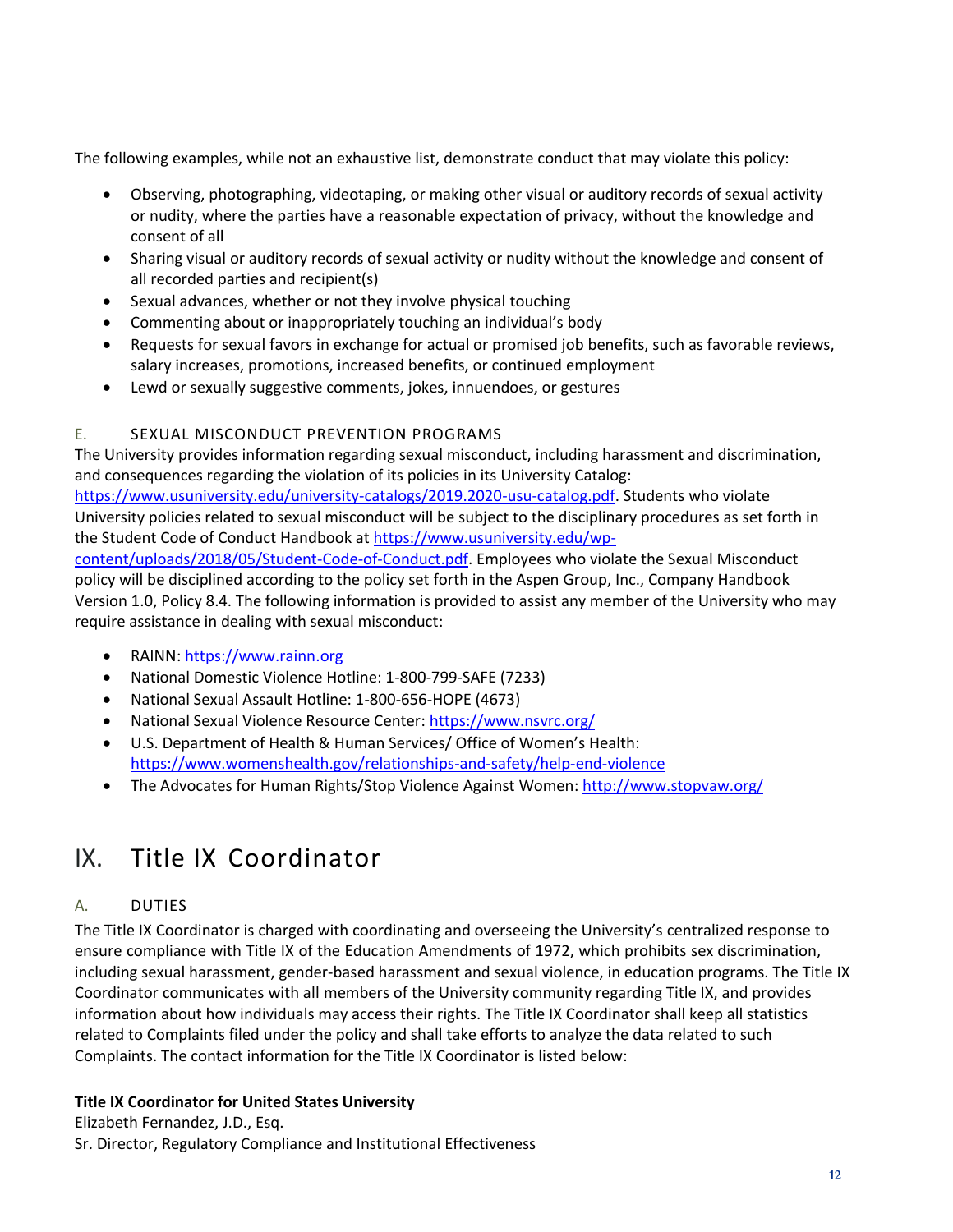The following examples, while not an exhaustive list, demonstrate conduct that may violate this policy:

- Observing, photographing, videotaping, or making other visual or auditory records of sexual activity or nudity, where the parties have a reasonable expectation of privacy, without the knowledge and consent of all
- Sharing visual or auditory records of sexual activity or nudity without the knowledge and consent of all recorded parties and recipient(s)
- Sexual advances, whether or not they involve physical touching
- Commenting about or inappropriately touching an individual's body
- Requests for sexual favors in exchange for actual or promised job benefits, such as favorable reviews, salary increases, promotions, increased benefits, or continued employment
- Lewd or sexually suggestive comments, jokes, innuendoes, or gestures

### E. SEXUAL MISCONDUCT PREVENTION PROGRAMS

The University provides information regarding sexual misconduct, including harassment and discrimination, and consequences regarding the violation of its policies in its University Catalog: [https://www.usuniversity.edu/university-catalogs/2019.2020-usu-catalog.pdf.](https://www.usuniversity.edu/university-catalogs/2019.2020-usu-catalog.pdf) Students who violate University policies related to sexual misconduct will be subject to the disciplinary procedures as set forth in the Student Code of Conduct Handbook at [https://www.usuniversity.edu/wp](https://www.usuniversity.edu/wp-content/uploads/2018/05/Student-Code-of-Conduct.pdf)[content/uploads/2018/05/Student-Code-of-Conduct.pdf.](https://www.usuniversity.edu/wp-content/uploads/2018/05/Student-Code-of-Conduct.pdf) Employees who violate the Sexual Misconduct policy will be disciplined according to the policy set forth in the Aspen Group, Inc., Company Handbook Version 1.0, Policy 8.4. The following information is provided to assist any member of the University who may require assistance in dealing with sexual misconduct:

- RAINN[: https://www.rainn.org](https://www.rainn.org/)
- National Domestic Violence Hotline: 1-800-799-SAFE (7233)
- National Sexual Assault Hotline: 1-800-656-HOPE (4673)
- National Sexual Violence Resource Center:<https://www.nsvrc.org/>
- U.S. Department of Health & Human Services/ Office of Women's Health: <https://www.womenshealth.gov/relationships-and-safety/help-end-violence>
- The Advocates for Human Rights/Stop Violence Against Women:<http://www.stopvaw.org/>

### <span id="page-11-0"></span>IX. Title IX Coordinator

### A. DUTIES

The Title IX Coordinator is charged with coordinating and overseeing the University's centralized response to ensure compliance with Title IX of the Education Amendments of 1972, which prohibits sex discrimination, including sexual harassment, gender‐based harassment and sexual violence, in education programs. The Title IX Coordinator communicates with all members of the University community regarding Title IX, and provides information about how individuals may access their rights. The Title IX Coordinator shall keep all statistics related to Complaints filed under the policy and shall take efforts to analyze the data related to such Complaints. The contact information for the Title IX Coordinator is listed below:

### **Title IX Coordinator for United States University**

Elizabeth Fernandez, J.D., Esq. Sr. Director, Regulatory Compliance and Institutional Effectiveness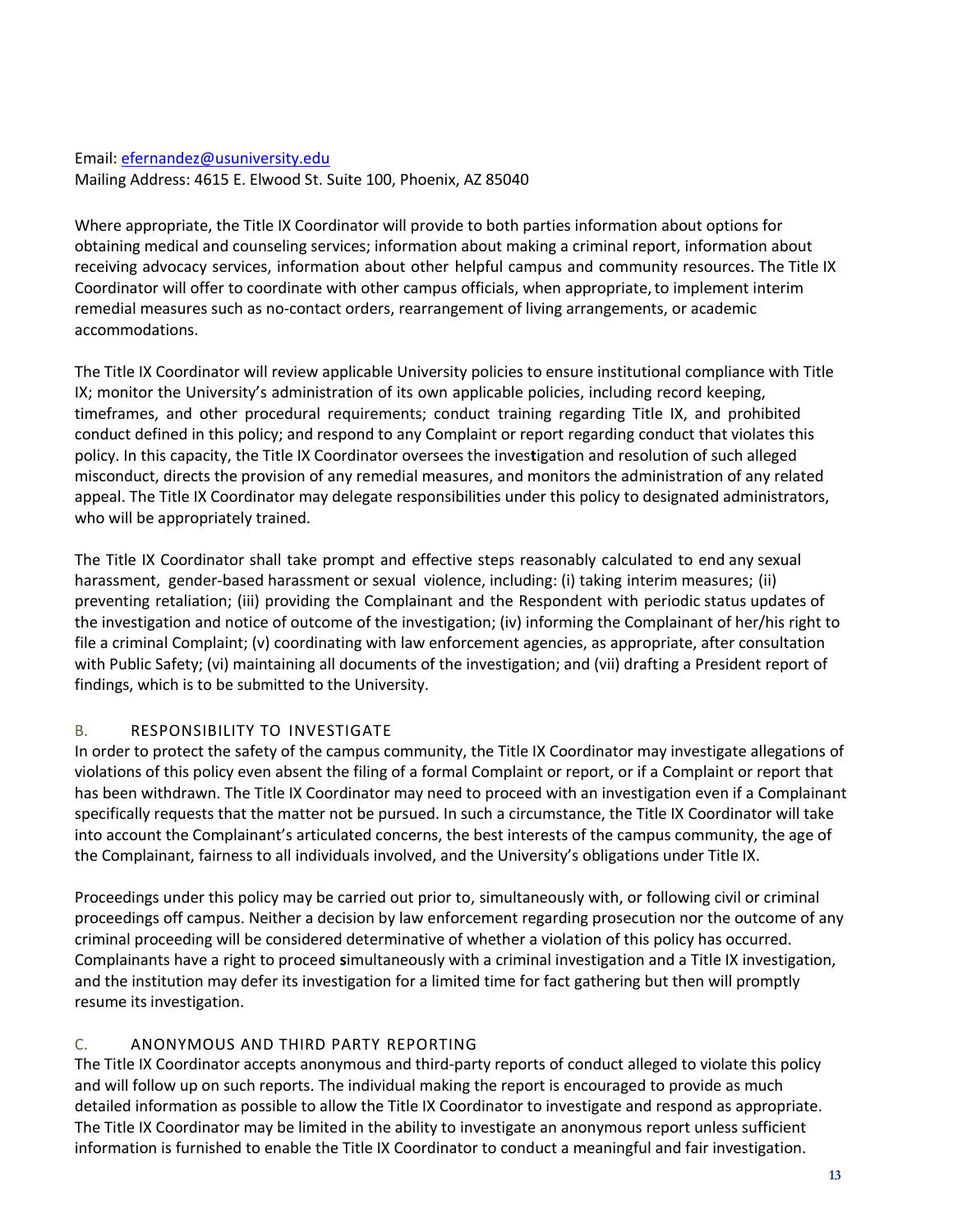#### Email: efernandez@usuniversity.edu Mailing Address: 4615 E. Elwood St. Suite 100, Phoenix, AZ 85040

Where appropriate, the Title IX Coordinator will provide to both parties information about options for obtaining medical and counseling services; information about making a criminal report, information about receiving advocacy services, information about other helpful campus and community resources. The Title IX Coordinator will offer to coordinate with other campus officials, when appropriate,to implement interim remedial measures such as no-contact orders, rearrangement of living arrangements, or academic accommodations.

The Title IX Coordinator will review applicable University policies to ensure institutional compliance with Title IX; monitor the University's administration of its own applicable policies, including record keeping, timeframes, and other procedural requirements; conduct training regarding Title IX, and prohibited conduct defined in this policy; and respond to any Complaint or report regarding conduct that violates this policy. In this capacity, the Title IX Coordinator oversees the inves**t**igation and resolution of such alleged misconduct, directs the provision of any remedial measures, and monitors the administration of any related appeal. The Title IX Coordinator may delegate responsibilities under this policy to designated administrators, who will be appropriately trained.

The Title IX Coordinator shall take prompt and effective steps reasonably calculated to end any sexual harassment, gender-based harassment or sexual violence, including: (i) taking interim measures; (ii) preventing retaliation; (iii) providing the Complainant and the Respondent with periodic status updates of the investigation and notice of outcome of the investigation; (iv) informing the Complainant of her/his right to file a criminal Complaint; (v) coordinating with law enforcement agencies, as appropriate, after consultation with Public Safety; (vi) maintaining all documents of the investigation; and (vii) drafting a President report of findings, which is to be submitted to the University.

### B. RESPONSIBILITY TO INVESTIGATE

In order to protect the safety of the campus community, the Title IX Coordinator may investigate allegations of violations of this policy even absent the filing of a formal Complaint or report, or if a Complaint or report that has been withdrawn. The Title IX Coordinator may need to proceed with an investigation even if a Complainant specifically requests that the matter not be pursued. In such a circumstance, the Title IX Coordinator will take into account the Complainant's articulated concerns, the best interests of the campus community, the age of the Complainant, fairness to all individuals involved, and the University's obligations under Title IX.

Proceedings under this policy may be carried out prior to, simultaneously with, or following civil or criminal proceedings off campus. Neither a decision by law enforcement regarding prosecution nor the outcome of any criminal proceeding will be considered determinative of whether a violation of this policy has occurred. Complainants have a right to proceed **s**imultaneously with a criminal investigation and a Title IX investigation, and the institution may defer its investigation for a limited time for fact gathering but then will promptly resume its investigation.

### C. ANONYMOUS AND THIRD PARTY REPORTING

The Title IX Coordinator accepts anonymous and third‐party reports of conduct alleged to violate this policy and will follow up on such reports. The individual making the report is encouraged to provide as much detailed information as possible to allow the Title IX Coordinator to investigate and respond as appropriate. The Title IX Coordinator may be limited in the ability to investigate an anonymous report unless sufficient information is furnished to enable the Title IX Coordinator to conduct a meaningful and fair investigation.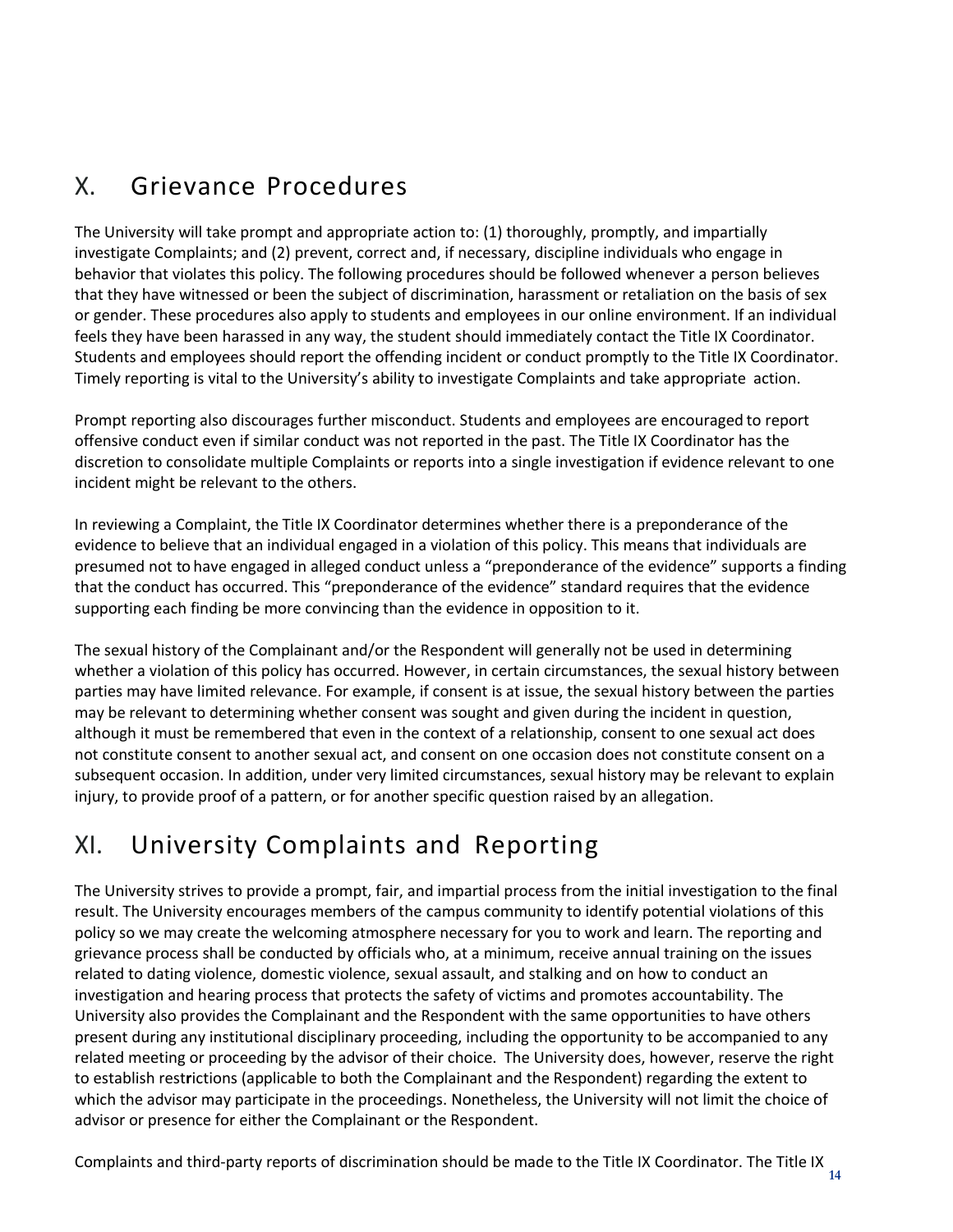## <span id="page-13-0"></span>X. Grievance Procedures

The University will take prompt and appropriate action to: (1) thoroughly, promptly, and impartially investigate Complaints; and (2) prevent, correct and, if necessary, discipline individuals who engage in behavior that violates this policy. The following procedures should be followed whenever a person believes that they have witnessed or been the subject of discrimination, harassment or retaliation on the basis of sex or gender. These procedures also apply to students and employees in our online environment. If an individual feels they have been harassed in any way, the student should immediately contact the Title IX Coordinator. Students and employees should report the offending incident or conduct promptly to the Title IX Coordinator. Timely reporting is vital to the University's ability to investigate Complaints and take appropriate action.

Prompt reporting also discourages further misconduct. Students and employees are encouraged to report offensive conduct even if similar conduct was not reported in the past. The Title IX Coordinator has the discretion to consolidate multiple Complaints or reports into a single investigation if evidence relevant to one incident might be relevant to the others.

In reviewing a Complaint, the Title IX Coordinator determines whether there is a preponderance of the evidence to believe that an individual engaged in a violation of this policy. This means that individuals are presumed not to have engaged in alleged conduct unless a "preponderance of the evidence" supports a finding that the conduct has occurred. This "preponderance of the evidence" standard requires that the evidence supporting each finding be more convincing than the evidence in opposition to it.

The sexual history of the Complainant and/or the Respondent will generally not be used in determining whether a violation of this policy has occurred. However, in certain circumstances, the sexual history between parties may have limited relevance. For example, if consent is at issue, the sexual history between the parties may be relevant to determining whether consent was sought and given during the incident in question, although it must be remembered that even in the context of a relationship, consent to one sexual act does not constitute consent to another sexual act, and consent on one occasion does not constitute consent on a subsequent occasion. In addition, under very limited circumstances, sexual history may be relevant to explain injury, to provide proof of a pattern, or for another specific question raised by an allegation.

### <span id="page-13-1"></span>XI. University Complaints and Reporting

The University strives to provide a prompt, fair, and impartial process from the initial investigation to the final result. The University encourages members of the campus community to identify potential violations of this policy so we may create the welcoming atmosphere necessary for you to work and learn. The reporting and grievance process shall be conducted by officials who, at a minimum, receive annual training on the issues related to dating violence, domestic violence, sexual assault, and stalking and on how to conduct an investigation and hearing process that protects the safety of victims and promotes accountability. The University also provides the Complainant and the Respondent with the same opportunities to have others present during any institutional disciplinary proceeding, including the opportunity to be accompanied to any related meeting or proceeding by the advisor of their choice. The University does, however, reserve the right to establish rest**r**ictions (applicable to both the Complainant and the Respondent) regarding the extent to which the advisor may participate in the proceedings. Nonetheless, the University will not limit the choice of advisor or presence for either the Complainant or the Respondent.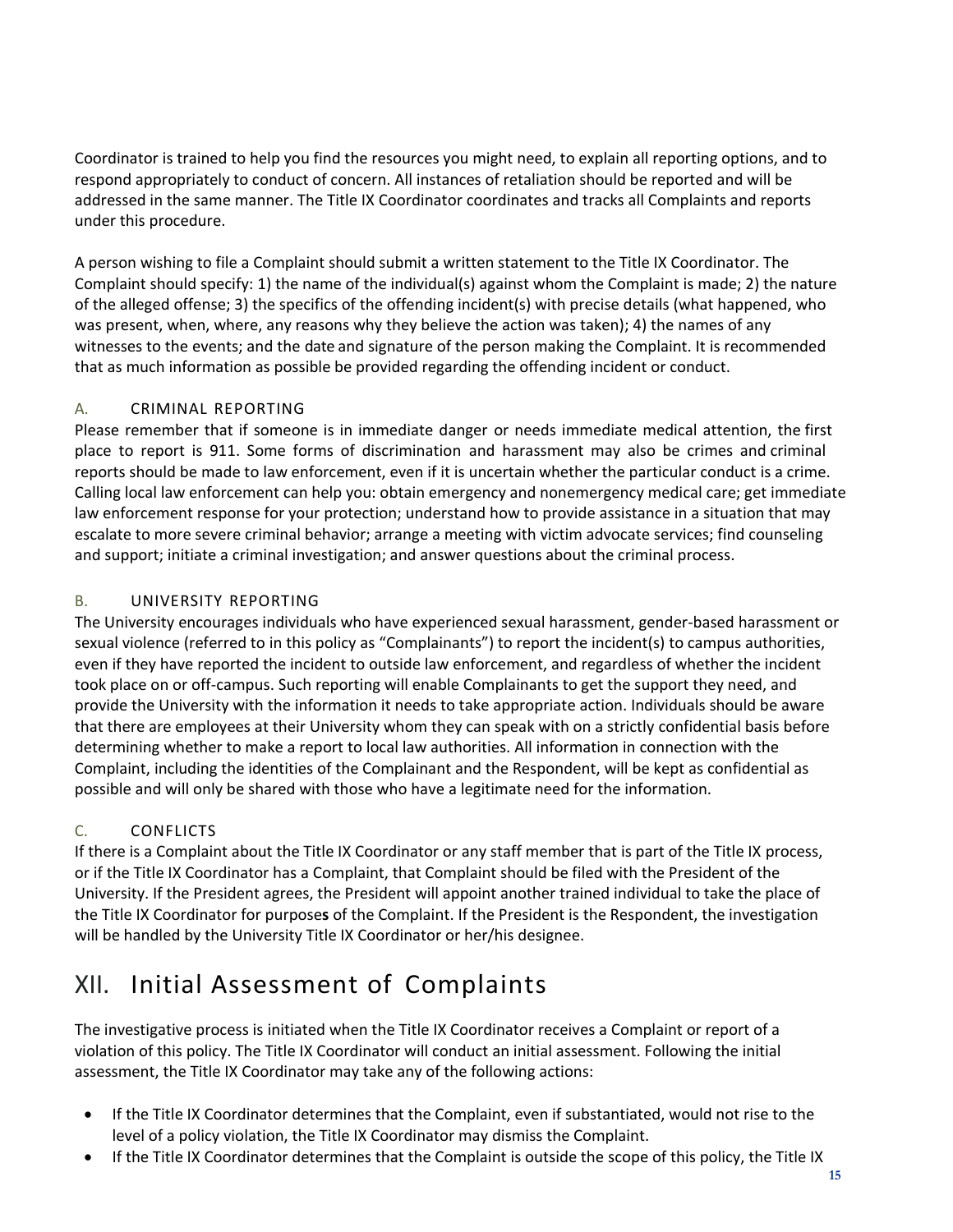Coordinator is trained to help you find the resources you might need, to explain all reporting options, and to respond appropriately to conduct of concern. All instances of retaliation should be reported and will be addressed in the same manner. The Title IX Coordinator coordinates and tracks all Complaints and reports under this procedure.

A person wishing to file a Complaint should submit a written statement to the Title IX Coordinator. The Complaint should specify: 1) the name of the individual(s) against whom the Complaint is made; 2) the nature of the alleged offense; 3) the specifics of the offending incident(s) with precise details (what happened, who was present, when, where, any reasons why they believe the action was taken); 4) the names of any witnesses to the events; and the date and signature of the person making the Complaint. It is recommended that as much information as possible be provided regarding the offending incident or conduct.

### A. CRIMINAL REPORTING

Please remember that if someone is in immediate danger or needs immediate medical attention, the first place to report is 911. Some forms of discrimination and harassment may also be crimes and criminal reports should be made to law enforcement, even if it is uncertain whether the particular conduct is a crime. Calling local law enforcement can help you: obtain emergency and nonemergency medical care; get immediate law enforcement response for your protection; understand how to provide assistance in a situation that may escalate to more severe criminal behavior; arrange a meeting with victim advocate services; find counseling and support; initiate a criminal investigation; and answer questions about the criminal process.

### B. UNIVERSITY REPORTING

The University encourages individuals who have experienced sexual harassment, gender‐based harassment or sexual violence (referred to in this policy as "Complainants") to report the incident(s) to campus authorities, even if they have reported the incident to outside law enforcement, and regardless of whether the incident took place on or off‐campus. Such reporting will enable Complainants to get the support they need, and provide the University with the information it needs to take appropriate action. Individuals should be aware that there are employees at their University whom they can speak with on a strictly confidential basis before determining whether to make a report to local law authorities. All information in connection with the Complaint, including the identities of the Complainant and the Respondent, will be kept as confidential as possible and will only be shared with those who have a legitimate need for the information.

### C. CONFLICTS

If there is a Complaint about the Title IX Coordinator or any staff member that is part of the Title IX process, or if the Title IX Coordinator has a Complaint, that Complaint should be filed with the President of the University. If the President agrees, the President will appoint another trained individual to take the place of the Title IX Coordinator for purpose**s** of the Complaint. If the President is the Respondent, the investigation will be handled by the University Title IX Coordinator or her/his designee.

# <span id="page-14-0"></span>XII. Initial Assessment of Complaints

The investigative process is initiated when the Title IX Coordinator receives a Complaint or report of a violation of this policy. The Title IX Coordinator will conduct an initial assessment. Following the initial assessment, the Title IX Coordinator may take any of the following actions:

- If the Title IX Coordinator determines that the Complaint, even if substantiated, would not rise to the level of a policy violation, the Title IX Coordinator may dismiss the Complaint.
- If the Title IX Coordinator determines that the Complaint is outside the scope of this policy, the Title IX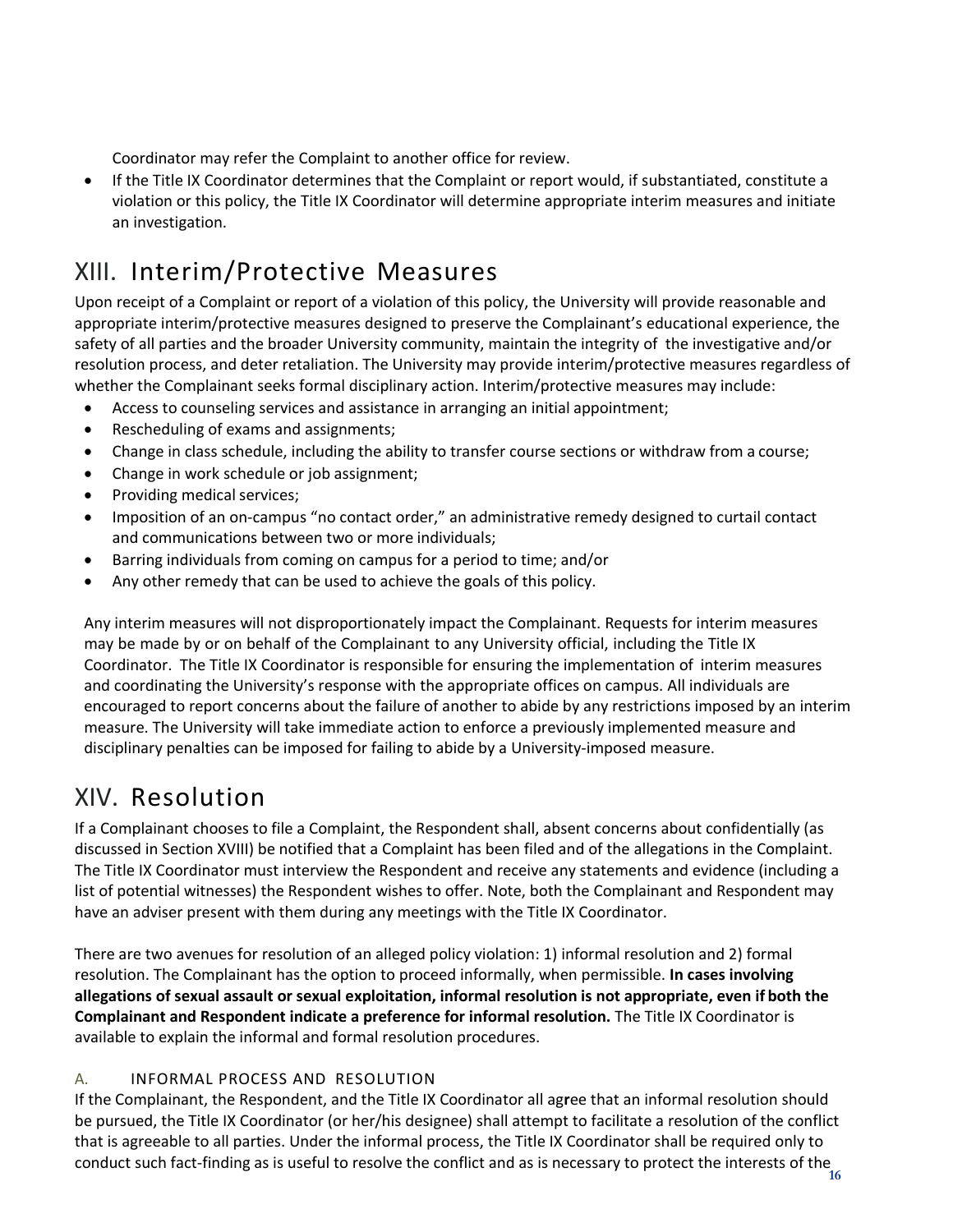Coordinator may refer the Complaint to another office for review.

 If the Title IX Coordinator determines that the Complaint or report would, if substantiated, constitute a violation or this policy, the Title IX Coordinator will determine appropriate interim measures and initiate an investigation.

## <span id="page-15-0"></span>XIII. Interim/Protective Measures

Upon receipt of a Complaint or report of a violation of this policy, the University will provide reasonable and appropriate interim/protective measures designed to preserve the Complainant's educational experience, the safety of all parties and the broader University community, maintain the integrity of the investigative and/or resolution process, and deter retaliation. The University may provide interim/protective measures regardless of whether the Complainant seeks formal disciplinary action. Interim/protective measures may include:

- Access to counseling services and assistance in arranging an initial appointment;
- Rescheduling of exams and assignments;
- Change in class schedule, including the ability to transfer course sections or withdraw from a course;
- Change in work schedule or job assignment;
- Providing medical services;
- Imposition of an on‐campus "no contact order," an administrative remedy designed to curtail contact and communications between two or more individuals;
- Barring individuals from coming on campus for a period to time; and/or
- Any other remedy that can be used to achieve the goals of this policy.

Any interim measures will not disproportionately impact the Complainant. Requests for interim measures may be made by or on behalf of the Complainant to any University official, including the Title IX Coordinator. The Title IX Coordinator is responsible for ensuring the implementation of interim measures and coordinating the University's response with the appropriate offices on campus. All individuals are encouraged to report concerns about the failure of another to abide by any restrictions imposed by an interim measure. The University will take immediate action to enforce a previously implemented measure and disciplinary penalties can be imposed for failing to abide by a University-imposed measure.

### <span id="page-15-1"></span>XIV. Resolution

If a Complainant chooses to file a Complaint, the Respondent shall, absent concerns about confidentially (as discussed in Section XVIII) be notified that a Complaint has been filed and of the allegations in the Complaint. The Title IX Coordinator must interview the Respondent and receive any statements and evidence (including a list of potential witnesses) the Respondent wishes to offer. Note, both the Complainant and Respondent may have an adviser present with them during any meetings with the Title IX Coordinator.

There are two avenues for resolution of an alleged policy violation: 1) informal resolution and 2) formal resolution. The Complainant has the option to proceed informally, when permissible. **In cases involving allegations of sexual assault or sexual exploitation, informal resolution is not appropriate, even if both the Complainant and Respondent indicate a preference for informal resolution.** The Title IX Coordinator is available to explain the informal and formal resolution procedures.

### A. INFORMAL PROCESS AND RESOLUTION

**16** conduct such fact‐finding as is useful to resolve the conflict and as is necessary to protect the interests of the If the Complainant, the Respondent, and the Title IX Coordinator all ag**r**ee that an informal resolution should be pursued, the Title IX Coordinator (or her/his designee) shall attempt to facilitate a resolution of the conflict that is agreeable to all parties. Under the informal process, the Title IX Coordinator shall be required only to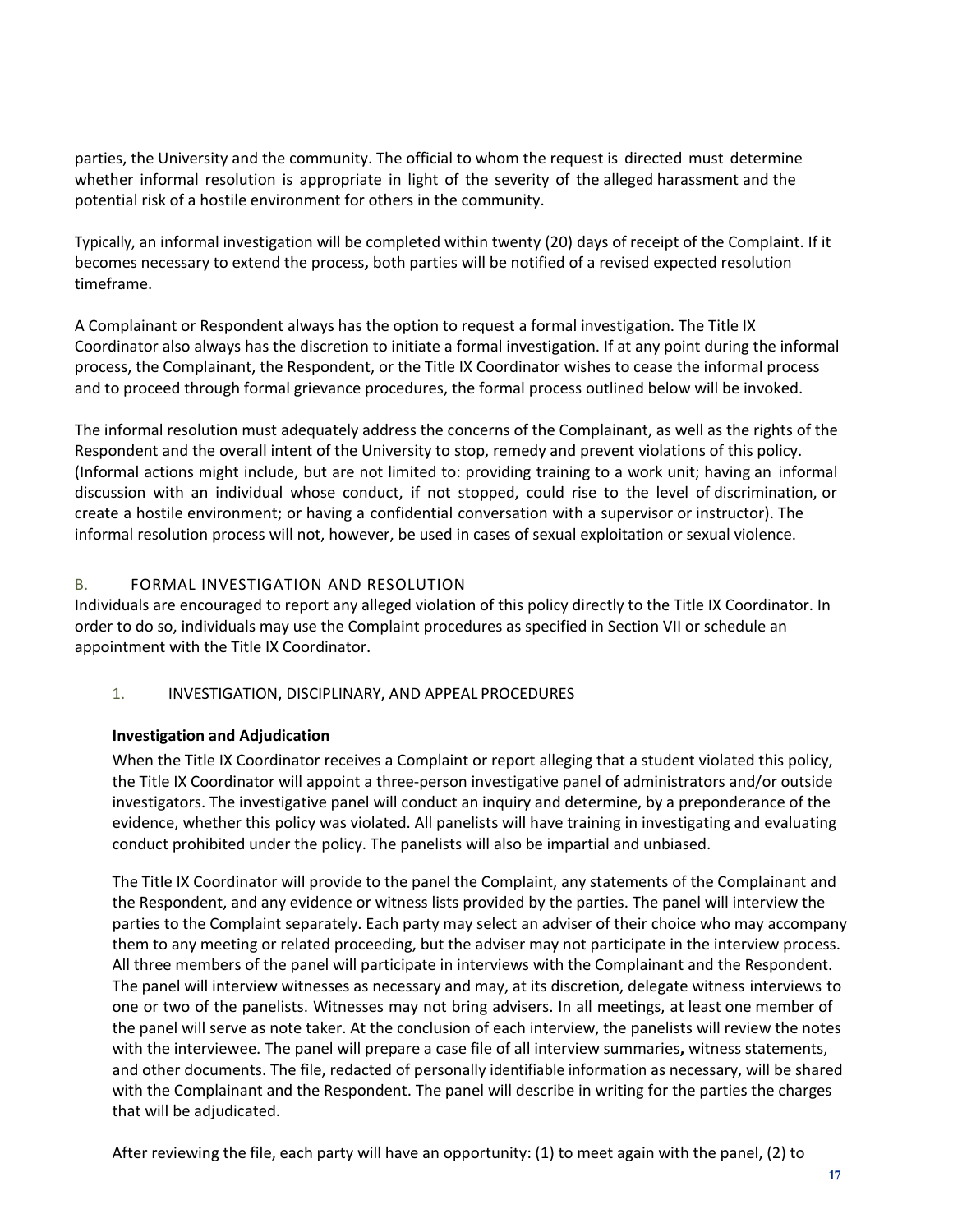parties, the University and the community. The official to whom the request is directed must determine whether informal resolution is appropriate in light of the severity of the alleged harassment and the potential risk of a hostile environment for others in the community.

Typically, an informal investigation will be completed within twenty (20) days of receipt of the Complaint. If it becomes necessary to extend the process**,** both parties will be notified of a revised expected resolution timeframe.

A Complainant or Respondent always has the option to request a formal investigation. The Title IX Coordinator also always has the discretion to initiate a formal investigation. If at any point during the informal process, the Complainant, the Respondent, or the Title IX Coordinator wishes to cease the informal process and to proceed through formal grievance procedures, the formal process outlined below will be invoked.

The informal resolution must adequately address the concerns of the Complainant, as well as the rights of the Respondent and the overall intent of the University to stop, remedy and prevent violations of this policy. (Informal actions might include, but are not limited to: providing training to a work unit; having an informal discussion with an individual whose conduct, if not stopped, could rise to the level of discrimination, or create a hostile environment; or having a confidential conversation with a supervisor or instructor). The informal resolution process will not, however, be used in cases of sexual exploitation or sexual violence.

#### B. FORMAL INVESTIGATION AND RESOLUTION

Individuals are encouraged to report any alleged violation of this policy directly to the Title IX Coordinator. In order to do so, individuals may use the Complaint procedures as specified in Section VII or schedule an appointment with the Title IX Coordinator.

#### 1. INVESTIGATION, DISCIPLINARY, AND APPEAL PROCEDURES

#### **Investigation and Adjudication**

When the Title IX Coordinator receives a Complaint or report alleging that a student violated this policy, the Title IX Coordinator will appoint a three‐person investigative panel of administrators and/or outside investigators. The investigative panel will conduct an inquiry and determine, by a preponderance of the evidence, whether this policy was violated. All panelists will have training in investigating and evaluating conduct prohibited under the policy. The panelists will also be impartial and unbiased.

The Title IX Coordinator will provide to the panel the Complaint, any statements of the Complainant and the Respondent, and any evidence or witness lists provided by the parties. The panel will interview the parties to the Complaint separately. Each party may select an adviser of their choice who may accompany them to any meeting or related proceeding, but the adviser may not participate in the interview process. All three members of the panel will participate in interviews with the Complainant and the Respondent. The panel will interview witnesses as necessary and may, at its discretion, delegate witness interviews to one or two of the panelists. Witnesses may not bring advisers. In all meetings, at least one member of the panel will serve as note taker. At the conclusion of each interview, the panelists will review the notes with the interviewee. The panel will prepare a case file of all interview summaries**,** witness statements, and other documents. The file, redacted of personally identifiable information as necessary, will be shared with the Complainant and the Respondent. The panel will describe in writing for the parties the charges that will be adjudicated.

After reviewing the file, each party will have an opportunity: (1) to meet again with the panel, (2) to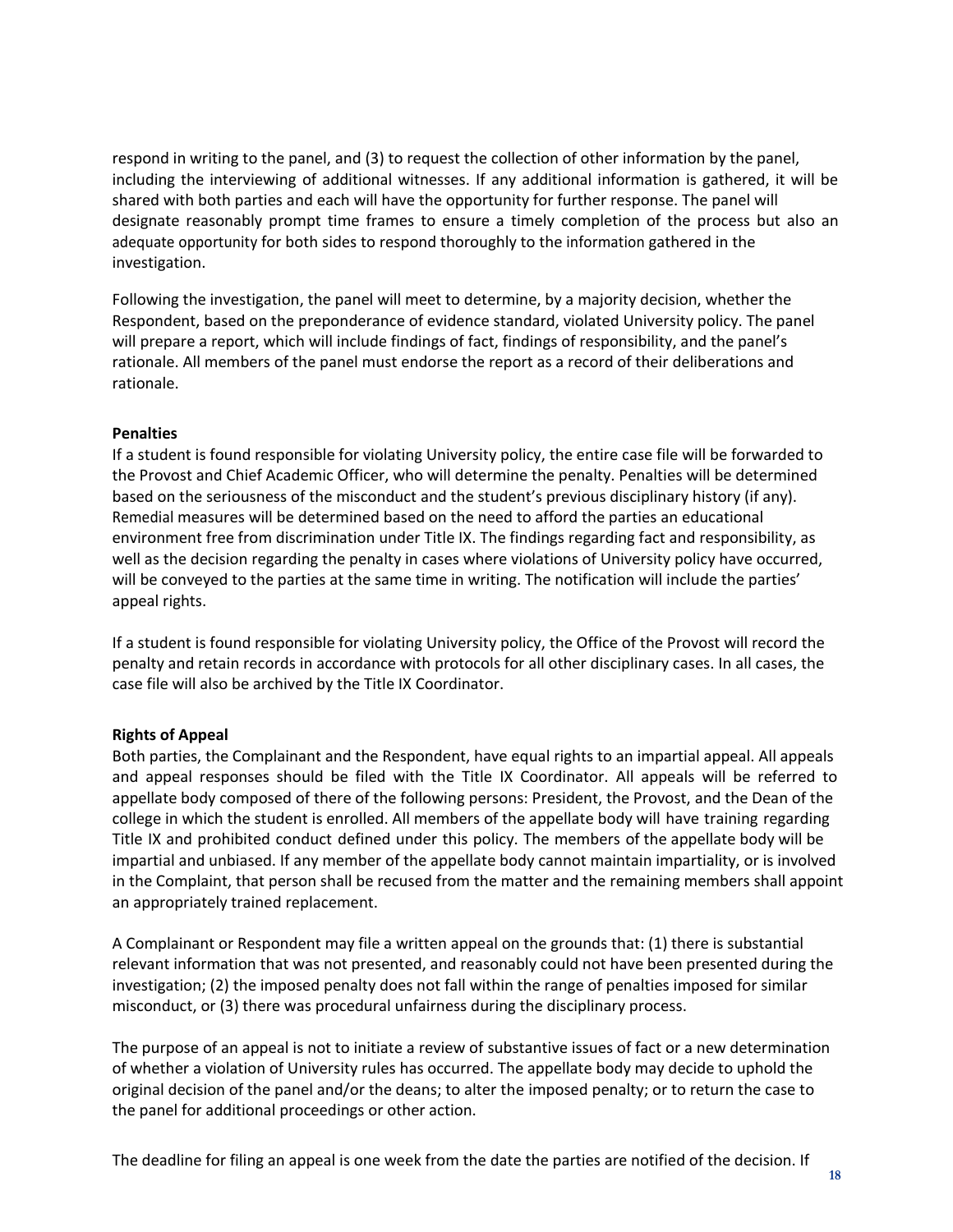respond in writing to the panel, and (3) to request the collection of other information by the panel, including the interviewing of additional witnesses. If any additional information is gathered, it will be shared with both parties and each will have the opportunity for further response. The panel will designate reasonably prompt time frames to ensure a timely completion of the process but also an adequate opportunity for both sides to respond thoroughly to the information gathered in the investigation.

Following the investigation, the panel will meet to determine, by a majority decision, whether the Respondent, based on the preponderance of evidence standard, violated University policy. The panel will prepare a report, which will include findings of fact, findings of responsibility, and the panel's rationale. All members of the panel must endorse the report as a record of their deliberations and rationale.

#### **Penalties**

If a student is found responsible for violating University policy, the entire case file will be forwarded to the Provost and Chief Academic Officer, who will determine the penalty. Penalties will be determined based on the seriousness of the misconduct and the student's previous disciplinary history (if any). Remedial measures will be determined based on the need to afford the parties an educational environment free from discrimination under Title IX. The findings regarding fact and responsibility, as well as the decision regarding the penalty in cases where violations of University policy have occurred, will be conveyed to the parties at the same time in writing. The notification will include the parties' appeal rights.

If a student is found responsible for violating University policy, the Office of the Provost will record the penalty and retain records in accordance with protocols for all other disciplinary cases. In all cases, the case file will also be archived by the Title IX Coordinator.

#### **Rights of Appeal**

Both parties, the Complainant and the Respondent, have equal rights to an impartial appeal. All appeals and appeal responses should be filed with the Title IX Coordinator. All appeals will be referred to appellate body composed of there of the following persons: President, the Provost, and the Dean of the college in which the student is enrolled. All members of the appellate body will have training regarding Title IX and prohibited conduct defined under this policy. The members of the appellate body will be impartial and unbiased. If any member of the appellate body cannot maintain impartiality, or is involved in the Complaint, that person shall be recused from the matter and the remaining members shall appoint an appropriately trained replacement.

A Complainant or Respondent may file a written appeal on the grounds that: (1) there is substantial relevant information that was not presented, and reasonably could not have been presented during the investigation; (2) the imposed penalty does not fall within the range of penalties imposed for similar misconduct, or (3) there was procedural unfairness during the disciplinary process.

The purpose of an appeal is not to initiate a review of substantive issues of fact or a new determination of whether a violation of University rules has occurred. The appellate body may decide to uphold the original decision of the panel and/or the deans; to alter the imposed penalty; or to return the case to the panel for additional proceedings or other action.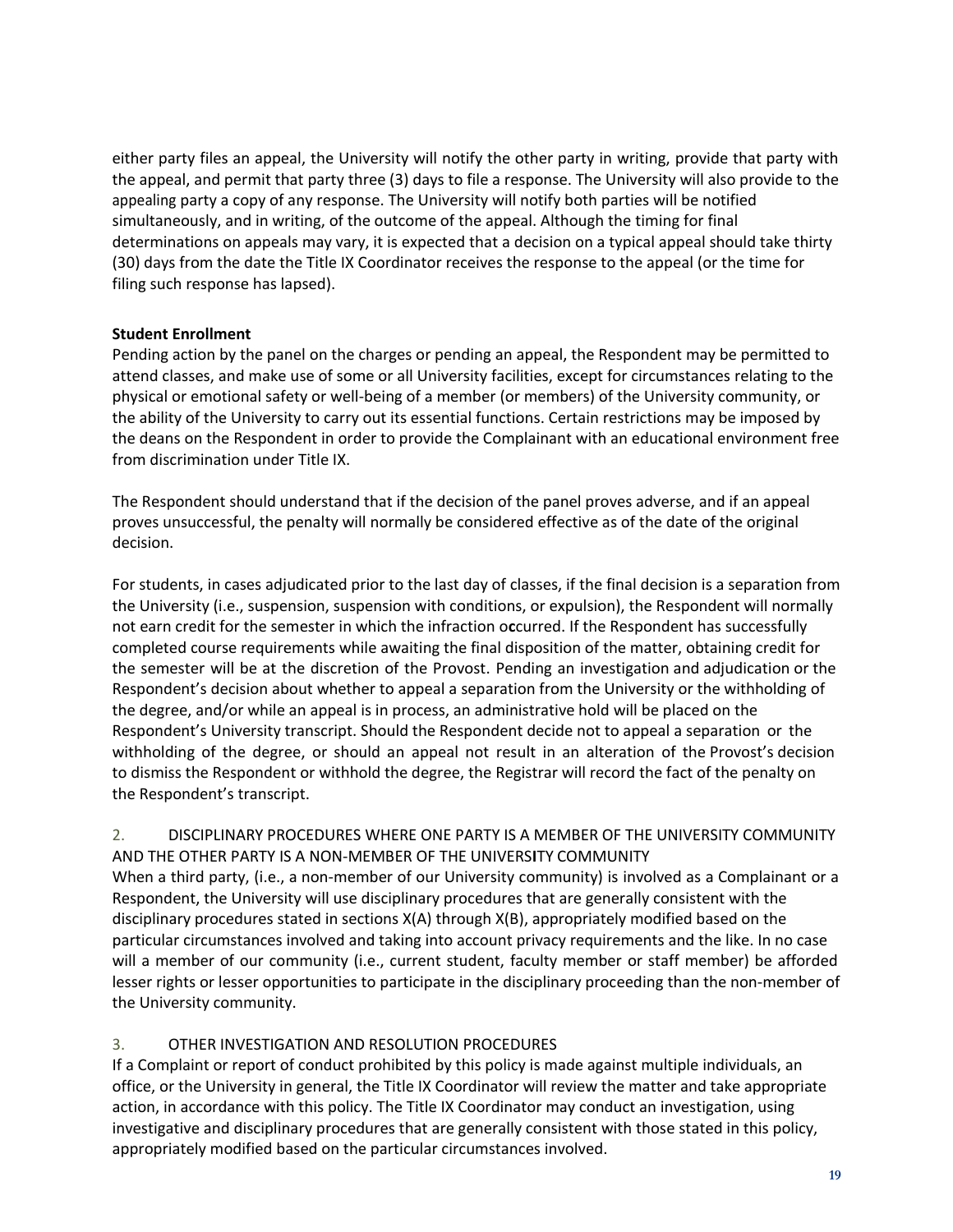either party files an appeal, the University will notify the other party in writing, provide that party with the appeal, and permit that party three (3) days to file a response. The University will also provide to the appealing party a copy of any response. The University will notify both parties will be notified simultaneously, and in writing, of the outcome of the appeal. Although the timing for final determinations on appeals may vary, it is expected that a decision on a typical appeal should take thirty (30) days from the date the Title IX Coordinator receives the response to the appeal (or the time for filing such response has lapsed).

#### **Student Enrollment**

Pending action by the panel on the charges or pending an appeal, the Respondent may be permitted to attend classes, and make use of some or all University facilities, except for circumstances relating to the physical or emotional safety or well‐being of a member (or members) of the University community, or the ability of the University to carry out its essential functions. Certain restrictions may be imposed by the deans on the Respondent in order to provide the Complainant with an educational environment free from discrimination under Title IX.

The Respondent should understand that if the decision of the panel proves adverse, and if an appeal proves unsuccessful, the penalty will normally be considered effective as of the date of the original decision.

For students, in cases adjudicated prior to the last day of classes, if the final decision is a separation from the University (i.e., suspension, suspension with conditions, or expulsion), the Respondent will normally not earn credit for the semester in which the infraction o**c**curred. If the Respondent has successfully completed course requirements while awaiting the final disposition of the matter, obtaining credit for the semester will be at the discretion of the Provost. Pending an investigation and adjudication or the Respondent's decision about whether to appeal a separation from the University or the withholding of the degree, and/or while an appeal is in process, an administrative hold will be placed on the Respondent's University transcript. Should the Respondent decide not to appeal a separation or the withholding of the degree, or should an appeal not result in an alteration of the Provost's decision to dismiss the Respondent or withhold the degree, the Registrar will record the fact of the penalty on the Respondent's transcript.

#### 2. DISCIPLINARY PROCEDURES WHERE ONE PARTY IS A MEMBER OF THE UNIVERSITY COMMUNITY AND THE OTHER PARTY IS A NON‐MEMBER OF THE UNIVERS**I**TY COMMUNITY

When a third party, (i.e., a non-member of our University community) is involved as a Complainant or a Respondent, the University will use disciplinary procedures that are generally consistent with the disciplinary procedures stated in sections X(A) through X(B), appropriately modified based on the particular circumstances involved and taking into account privacy requirements and the like. In no case will a member of our community (i.e., current student, faculty member or staff member) be afforded lesser rights or lesser opportunities to participate in the disciplinary proceeding than the non-member of the University community.

#### 3. OTHER INVESTIGATION AND RESOLUTION PROCEDURES

If a Complaint or report of conduct prohibited by this policy is made against multiple individuals, an office, or the University in general, the Title IX Coordinator will review the matter and take appropriate action, in accordance with this policy. The Title IX Coordinator may conduct an investigation, using investigative and disciplinary procedures that are generally consistent with those stated in this policy, appropriately modified based on the particular circumstances involved.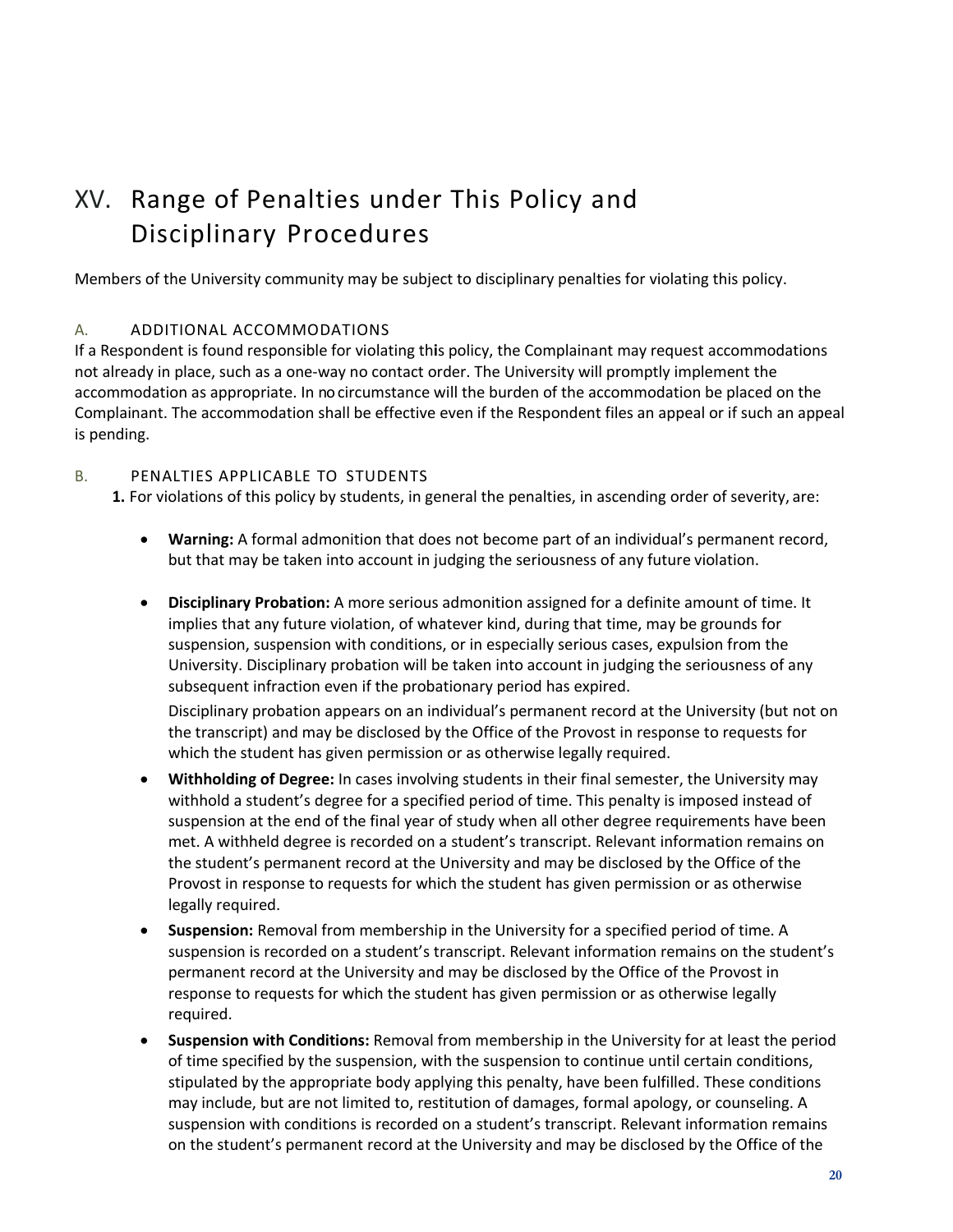# <span id="page-19-0"></span>XV. Range of Penalties under This Policy and Disciplinary Procedures

Members of the University community may be subject to disciplinary penalties for violating this policy.

#### A. ADDITIONAL ACCOMMODATIONS

If a Respondent is found responsible for violating th**i**s policy, the Complainant may request accommodations not already in place, such as a one-way no contact order. The University will promptly implement the accommodation as appropriate. In nocircumstance will the burden of the accommodation be placed on the Complainant. The accommodation shall be effective even if the Respondent files an appeal or if such an appeal is pending.

#### B. PENALTIES APPLICABLE TO STUDENTS

**1.** For violations of this policy by students, in general the penalties, in ascending order of severity, are:

- **Warning:** A formal admonition that does not become part of an individual's permanent record, but that may be taken into account in judging the seriousness of any future violation.
- **Disciplinary Probation:** A more serious admonition assigned for a definite amount of time. It implies that any future violation, of whatever kind, during that time, may be grounds for suspension, suspension with conditions, or in especially serious cases, expulsion from the University. Disciplinary probation will be taken into account in judging the seriousness of any subsequent infraction even if the probationary period has expired.

Disciplinary probation appears on an individual's permanent record at the University (but not on the transcript) and may be disclosed by the Office of the Provost in response to requests for which the student has given permission or as otherwise legally required.

- **Withholding of Degree:** In cases involving students in their final semester, the University may withhold a student's degree for a specified period of time. This penalty is imposed instead of suspension at the end of the final year of study when all other degree requirements have been met. A withheld degree is recorded on a student's transcript. Relevant information remains on the student's permanent record at the University and may be disclosed by the Office of the Provost in response to requests for which the student has given permission or as otherwise legally required.
- **Suspension:** Removal from membership in the University for a specified period of time. A suspension is recorded on a student's transcript. Relevant information remains on the student's permanent record at the University and may be disclosed by the Office of the Provost in response to requests for which the student has given permission or as otherwise legally required.
- **Suspension with Conditions:** Removal from membership in the University for at least the period of time specified by the suspension, with the suspension to continue until certain conditions, stipulated by the appropriate body applying this penalty, have been fulfilled. These conditions may include, but are not limited to, restitution of damages, formal apology, or counseling. A suspension with conditions is recorded on a student's transcript. Relevant information remains on the student's permanent record at the University and may be disclosed by the Office of the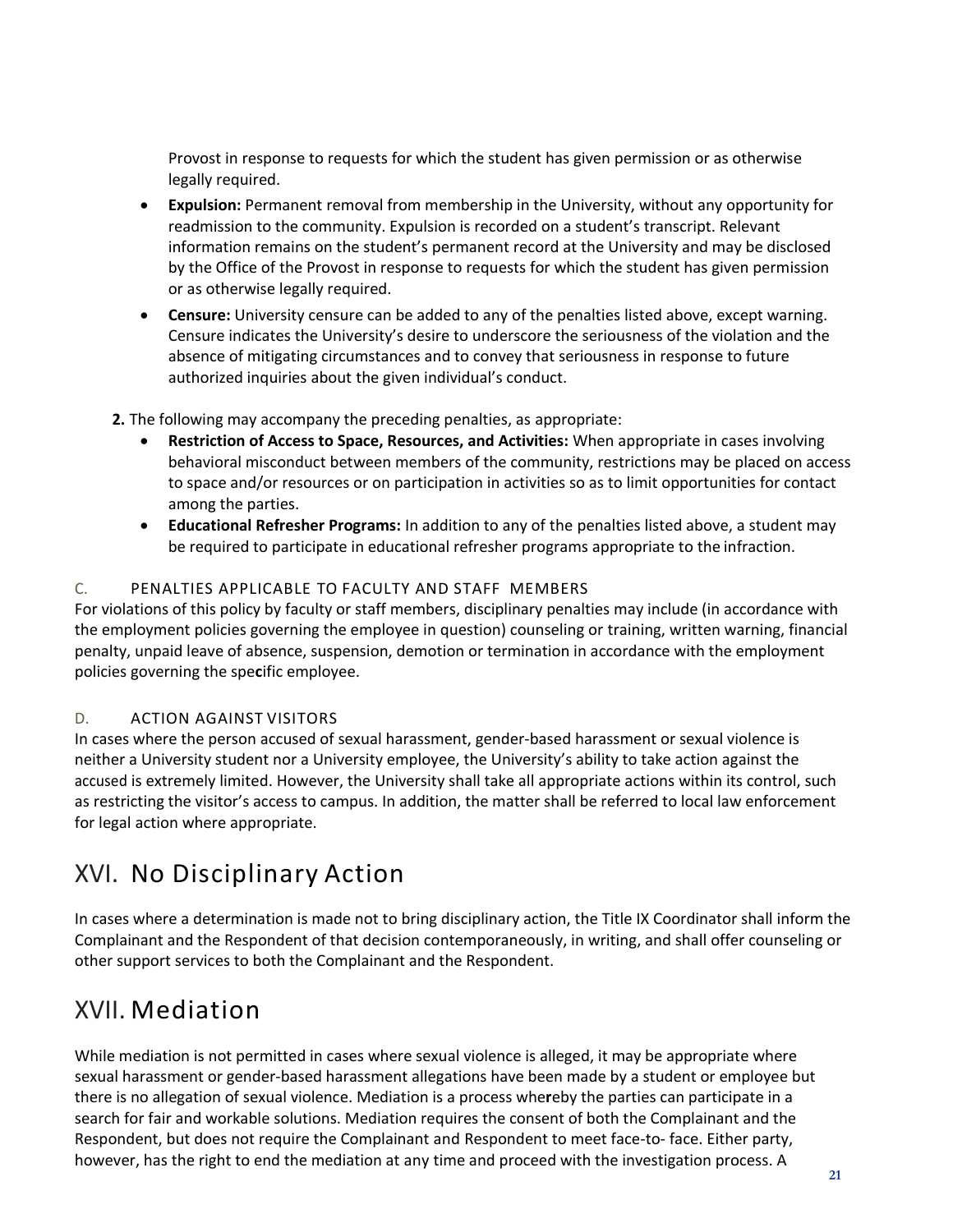Provost in response to requests for which the student has given permission or as otherwise legally required.

- **Expulsion:** Permanent removal from membership in the University, without any opportunity for readmission to the community. Expulsion is recorded on a student's transcript. Relevant information remains on the student's permanent record at the University and may be disclosed by the Office of the Provost in response to requests for which the student has given permission or as otherwise legally required.
- **Censure:** University censure can be added to any of the penalties listed above, except warning. Censure indicates the University's desire to underscore the seriousness of the violation and the absence of mitigating circumstances and to convey that seriousness in response to future authorized inquiries about the given individual's conduct.
- **2.** The following may accompany the preceding penalties, as appropriate:
	- **Restriction of Access to Space, Resources, and Activities:** When appropriate in cases involving behavioral misconduct between members of the community, restrictions may be placed on access to space and/or resources or on participation in activities so as to limit opportunities for contact among the parties.
	- **Educational Refresher Programs:** In addition to any of the penalties listed above, a student may be required to participate in educational refresher programs appropriate to the infraction.

#### C. PENALTIES APPLICABLE TO FACULTY AND STAFF MEMBERS

For violations of this policy by faculty or staff members, disciplinary penalties may include (in accordance with the employment policies governing the employee in question) counseling or training, written warning, financial penalty, unpaid leave of absence, suspension, demotion or termination in accordance with the employment policies governing the spe**c**ific employee.

### D. ACTION AGAINST VISITORS

In cases where the person accused of sexual harassment, gender‐based harassment or sexual violence is neither a University student nor a University employee, the University's ability to take action against the accused is extremely limited. However, the University shall take all appropriate actions within its control, such as restricting the visitor's access to campus. In addition, the matter shall be referred to local law enforcement for legal action where appropriate.

### <span id="page-20-0"></span>XVI. No Disciplinary Action

In cases where a determination is made not to bring disciplinary action, the Title IX Coordinator shall inform the Complainant and the Respondent of that decision contemporaneously, in writing, and shall offer counseling or other support services to both the Complainant and the Respondent.

### <span id="page-20-1"></span>XVII. Mediation

While mediation is not permitted in cases where sexual violence is alleged, it may be appropriate where sexual harassment or gender‐based harassment allegations have been made by a student or employee but there is no allegation of sexual violence. Mediation is a process whe**r**eby the parties can participate in a search for fair and workable solutions. Mediation requires the consent of both the Complainant and the Respondent, but does not require the Complainant and Respondent to meet face-to-face. Either party, however, has the right to end the mediation at any time and proceed with the investigation process. A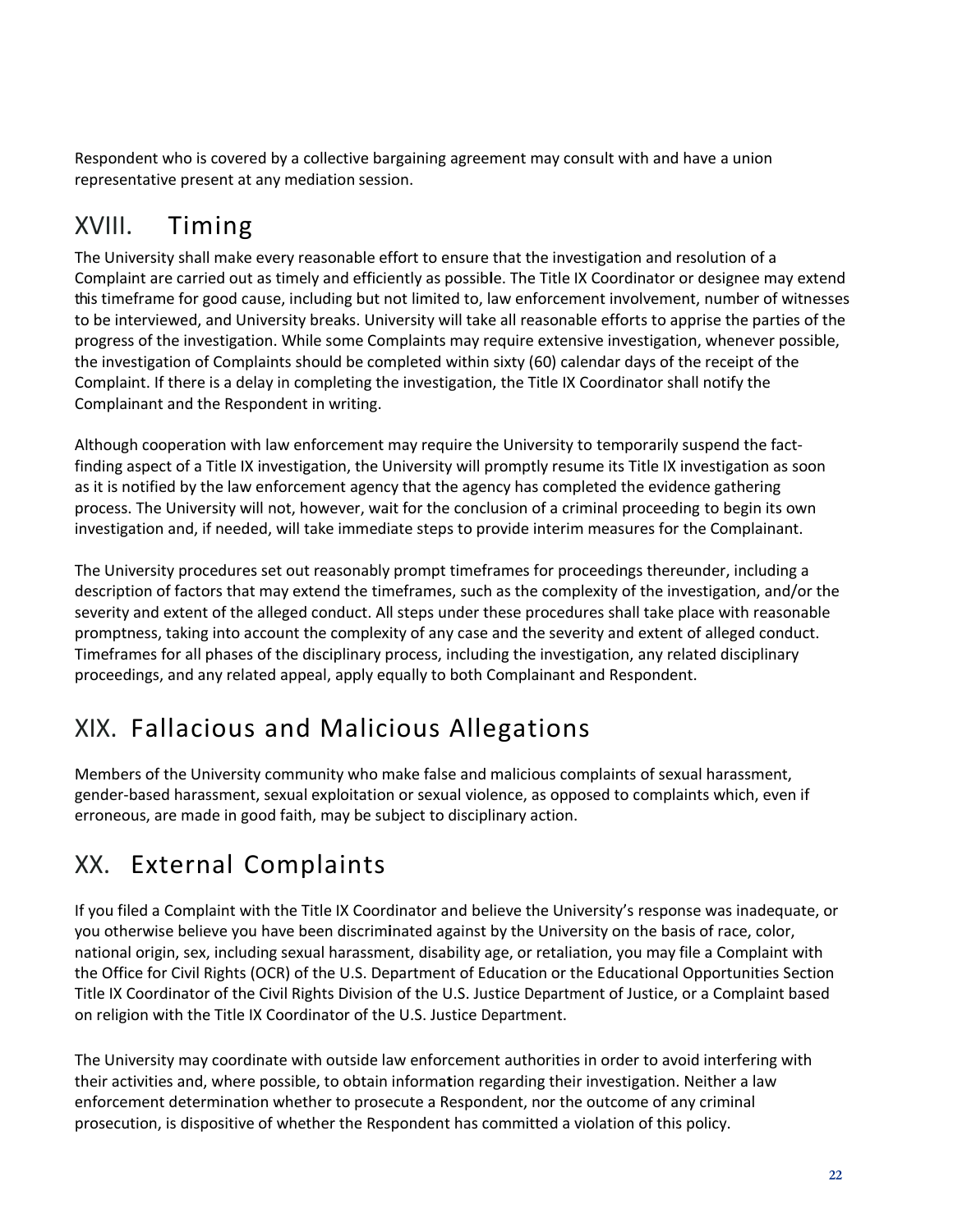Respondent who is covered by a collective bargaining agreement may consult with and have a union representative present at any mediation session.

# <span id="page-21-0"></span>XVIII. Timing

The University shall make every reasonable effort to ensure that the investigation and resolution of a Complaint are carried out as timely and efficiently as possib**l**e. The Title IX Coordinator or designee may extend this timeframe for good cause, including but not limited to, law enforcement involvement, number of witnesses to be interviewed, and University breaks. University will take all reasonable efforts to apprise the parties of the progress of the investigation. While some Complaints may require extensive investigation, whenever possible, the investigation of Complaints should be completed within sixty (60) calendar days of the receipt of the Complaint. If there is a delay in completing the investigation, the Title IX Coordinator shall notify the Complainant and the Respondent in writing.

Although cooperation with law enforcement may require the University to temporarily suspend the factfinding aspect of a Title IX investigation, the University will promptly resume its Title IX investigation as soon as it is notified by the law enforcement agency that the agency has completed the evidence gathering process. The University will not, however, wait for the conclusion of a criminal proceeding to begin its own investigation and, if needed, will take immediate steps to provide interim measures for the Complainant.

The University procedures set out reasonably prompt timeframes for proceedings thereunder, including a description of factors that may extend the timeframes, such as the complexity of the investigation, and/or the severity and extent of the alleged conduct. All steps under these procedures shall take place with reasonable promptness, taking into account the complexity of any case and the severity and extent of alleged conduct. Timeframes for all phases of the disciplinary process, including the investigation, any related disciplinary proceedings, and any related appeal, apply equally to both Complainant and Respondent.

# <span id="page-21-1"></span>XIX. Fallacious and Malicious Allegations

Members of the University community who make false and malicious complaints of sexual harassment, gender‐based harassment, sexual exploitation or sexual violence, as opposed to complaints which, even if erroneous, are made in good faith, may be subject to disciplinary action.

# <span id="page-21-2"></span>XX. External Complaints

If you filed a Complaint with the Title IX Coordinator and believe the University's response was inadequate, or you otherwise believe you have been discrim**i**nated against by the University on the basis of race, color, national origin, sex, including sexual harassment, disability age, or retaliation, you may file a Complaint with the Office for Civil Rights (OCR) of the U.S. Department of Education or the Educational Opportunities Section Title IX Coordinator of the Civil Rights Division of the U.S. Justice Department of Justice, or a Complaint based on religion with the Title IX Coordinator of the U.S. Justice Department.

The University may coordinate with outside law enforcement authorities in order to avoid interfering with their activities and, where possible, to obtain informa**t**ion regarding their investigation. Neither a law enforcement determination whether to prosecute a Respondent, nor the outcome of any criminal prosecution, is dispositive of whether the Respondent has committed a violation of this policy.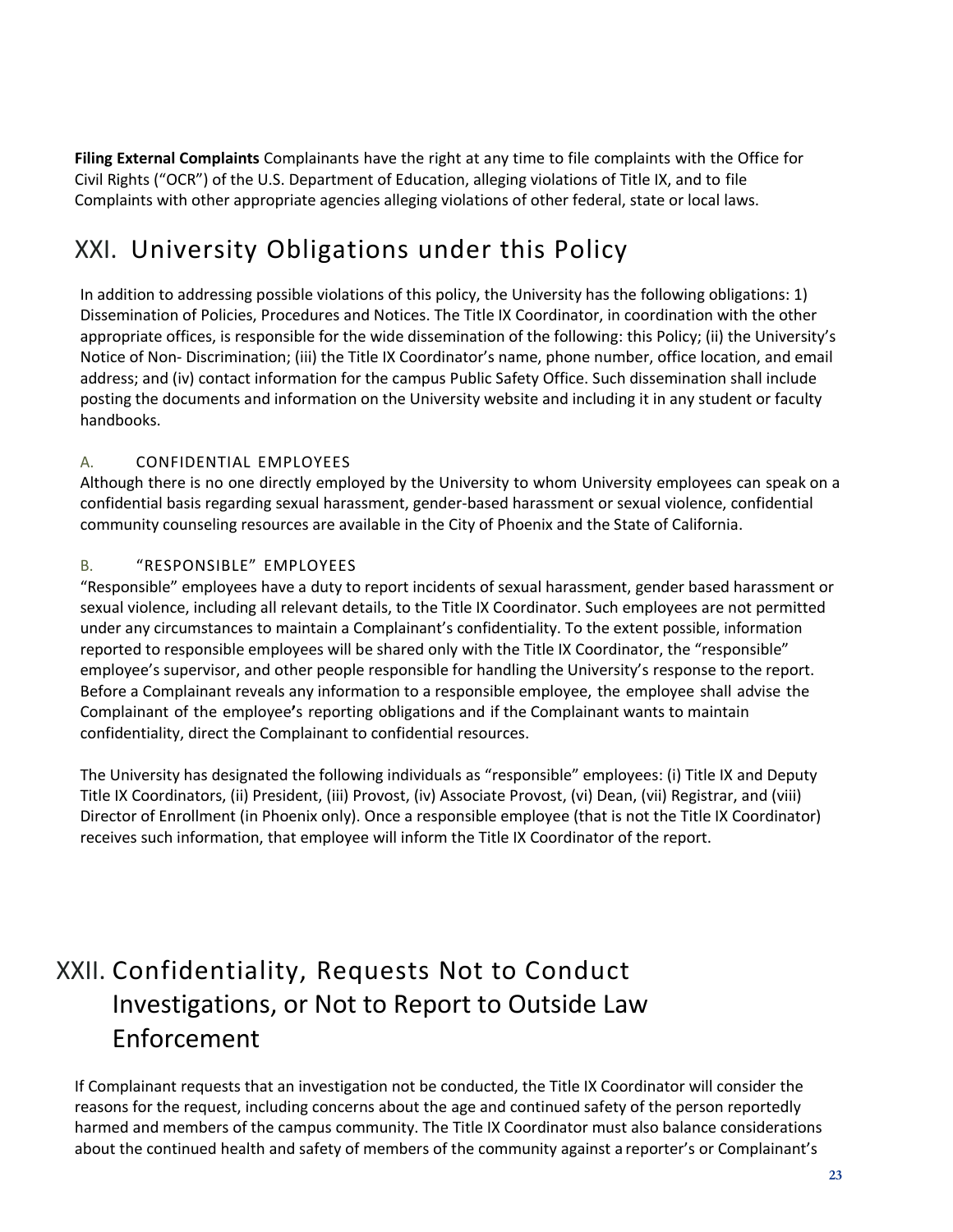**Filing External Complaints** Complainants have the right at any time to file complaints with the Office for Civil Rights ("OCR") of the U.S. Department of Education, alleging violations of Title IX, and to file Complaints with other appropriate agencies alleging violations of other federal, state or local laws.

### <span id="page-22-0"></span>XXI. University Obligations under this Policy

In addition to addressing possible violations of this policy, the University has the following obligations: 1) Dissemination of Policies, Procedures and Notices. The Title IX Coordinator, in coordination with the other appropriate offices, is responsible for the wide dissemination of the following: this Policy; (ii) the University's Notice of Non‐ Discrimination; (iii) the Title IX Coordinator's name, phone number, office location, and email address; and (iv) contact information for the campus Public Safety Office. Such dissemination shall include posting the documents and information on the University website and including it in any student or faculty handbooks.

### A. CONFIDENTIAL EMPLOYEES

Although there is no one directly employed by the University to whom University employees can speak on a confidential basis regarding sexual harassment, gender‐based harassment or sexual violence, confidential community counseling resources are available in the City of Phoenix and the State of California.

### B. "RESPONSIBLE" EMPLOYEES

"Responsible" employees have a duty to report incidents of sexual harassment, gender based harassment or sexual violence, including all relevant details, to the Title IX Coordinator. Such employees are not permitted under any circumstances to maintain a Complainant's confidentiality. To the extent possible, information reported to responsible employees will be shared only with the Title IX Coordinator, the "responsible" employee's supervisor, and other people responsible for handling the University's response to the report. Before a Complainant reveals any information to a responsible employee, the employee shall advise the Complainant of the employee**'**s reporting obligations and if the Complainant wants to maintain confidentiality, direct the Complainant to confidential resources.

The University has designated the following individuals as "responsible" employees: (i) Title IX and Deputy Title IX Coordinators, (ii) President, (iii) Provost, (iv) Associate Provost, (vi) Dean, (vii) Registrar, and (viii) Director of Enrollment (in Phoenix only). Once a responsible employee (that is not the Title IX Coordinator) receives such information, that employee will inform the Title IX Coordinator of the report.

# <span id="page-22-1"></span>XXII. Confidentiality, Requests Not to Conduct Investigations, or Not to Report to Outside Law Enforcement

If Complainant requests that an investigation not be conducted, the Title IX Coordinator will consider the reasons for the request, including concerns about the age and continued safety of the person reportedly harmed and members of the campus community. The Title IX Coordinator must also balance considerations about the continued health and safety of members of the community against a reporter's or Complainant's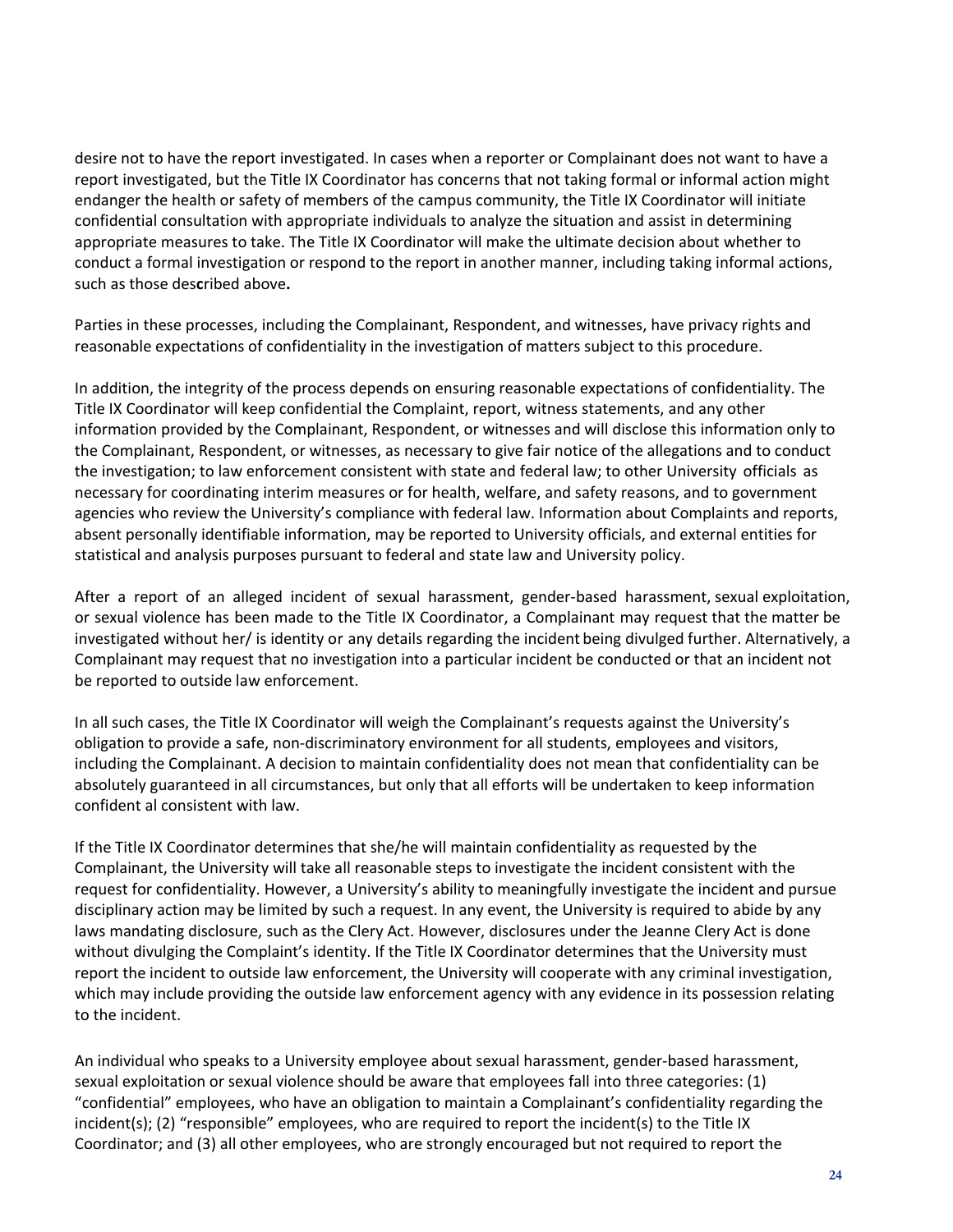desire not to have the report investigated. In cases when a reporter or Complainant does not want to have a report investigated, but the Title IX Coordinator has concerns that not taking formal or informal action might endanger the health or safety of members of the campus community, the Title IX Coordinator will initiate confidential consultation with appropriate individuals to analyze the situation and assist in determining appropriate measures to take. The Title IX Coordinator will make the ultimate decision about whether to conduct a formal investigation or respond to the report in another manner, including taking informal actions, such as those des**c**ribed above**.**

Parties in these processes, including the Complainant, Respondent, and witnesses, have privacy rights and reasonable expectations of confidentiality in the investigation of matters subject to this procedure.

In addition, the integrity of the process depends on ensuring reasonable expectations of confidentiality. The Title IX Coordinator will keep confidential the Complaint, report, witness statements, and any other information provided by the Complainant, Respondent, or witnesses and will disclose this information only to the Complainant, Respondent, or witnesses, as necessary to give fair notice of the allegations and to conduct the investigation; to law enforcement consistent with state and federal law; to other University officials as necessary for coordinating interim measures or for health, welfare, and safety reasons, and to government agencies who review the University's compliance with federal law. Information about Complaints and reports, absent personally identifiable information, may be reported to University officials, and external entities for statistical and analysis purposes pursuant to federal and state law and University policy.

After a report of an alleged incident of sexual harassment, gender‐based harassment, sexual exploitation, or sexual violence has been made to the Title IX Coordinator, a Complainant may request that the matter be investigated without her/ is identity or any details regarding the incident being divulged further. Alternatively, a Complainant may request that no investigation into a particular incident be conducted or that an incident not be reported to outside law enforcement.

In all such cases, the Title IX Coordinator will weigh the Complainant's requests against the University's obligation to provide a safe, non‐discriminatory environment for all students, employees and visitors, including the Complainant. A decision to maintain confidentiality does not mean that confidentiality can be absolutely guaranteed in all circumstances, but only that all efforts will be undertaken to keep information confident al consistent with law.

If the Title IX Coordinator determines that she/he will maintain confidentiality as requested by the Complainant, the University will take all reasonable steps to investigate the incident consistent with the request for confidentiality. However, a University's ability to meaningfully investigate the incident and pursue disciplinary action may be limited by such a request. In any event, the University is required to abide by any laws mandating disclosure, such as the Clery Act. However, disclosures under the Jeanne Clery Act is done without divulging the Complaint's identity. If the Title IX Coordinator determines that the University must report the incident to outside law enforcement, the University will cooperate with any criminal investigation, which may include providing the outside law enforcement agency with any evidence in its possession relating to the incident.

An individual who speaks to a University employee about sexual harassment, gender‐based harassment, sexual exploitation or sexual violence should be aware that employees fall into three categories: (1) "confidential" employees, who have an obligation to maintain a Complainant's confidentiality regarding the incident(s); (2) "responsible" employees, who are required to report the incident(s) to the Title IX Coordinator; and (3) all other employees, who are strongly encouraged but not required to report the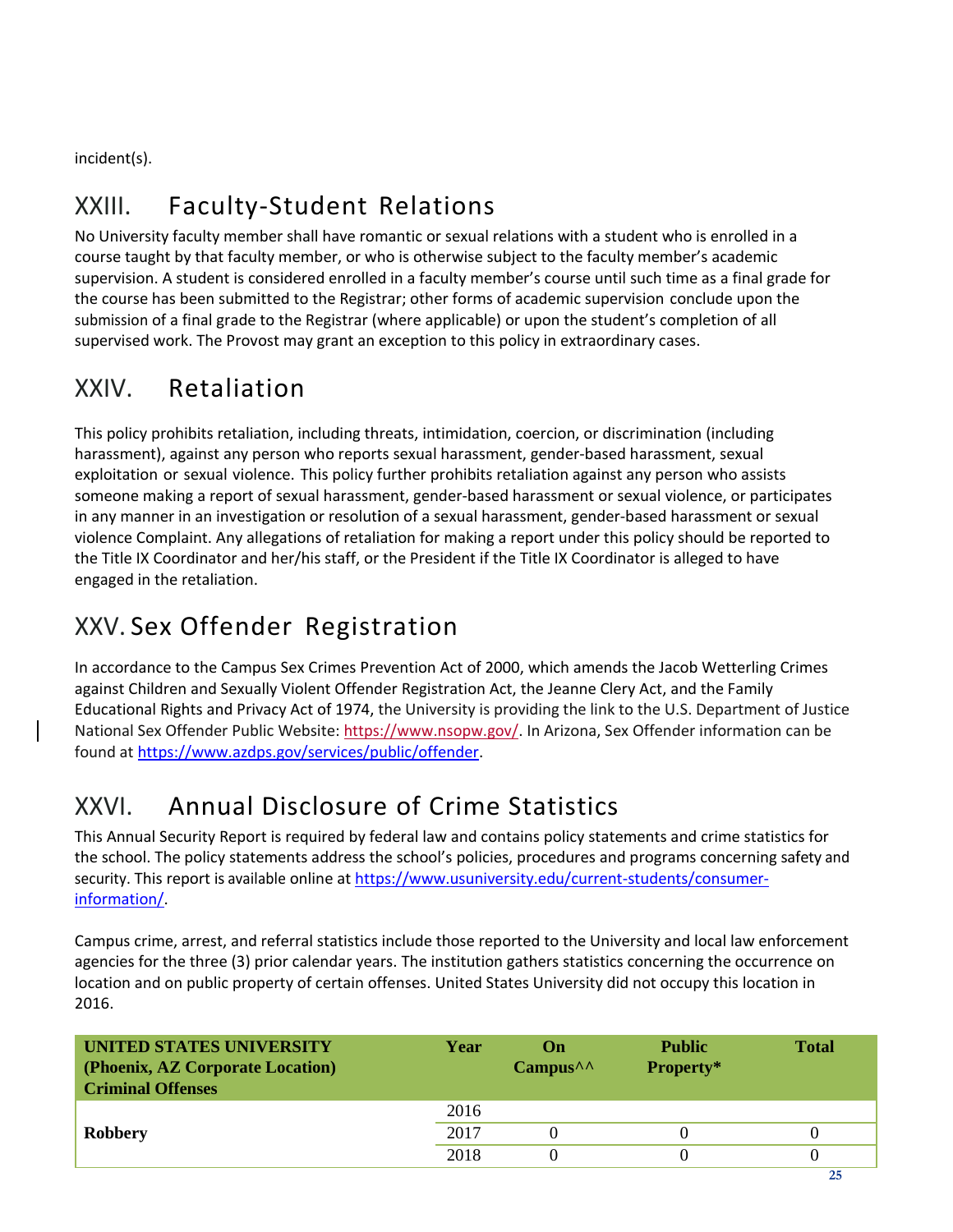incident(s).

### <span id="page-24-0"></span>XXIII. Faculty‐Student Relations

No University faculty member shall have romantic or sexual relations with a student who is enrolled in a course taught by that faculty member, or who is otherwise subject to the faculty member's academic supervision. A student is considered enrolled in a faculty member's course until such time as a final grade for the course has been submitted to the Registrar; other forms of academic supervision conclude upon the submission of a final grade to the Registrar (where applicable) or upon the student's completion of all supervised work. The Provost may grant an exception to this policy in extraordinary cases.

### <span id="page-24-1"></span>XXIV. Retaliation

This policy prohibits retaliation, including threats, intimidation, coercion, or discrimination (including harassment), against any person who reports sexual harassment, gender‐based harassment, sexual exploitation or sexual violence. This policy further prohibits retaliation against any person who assists someone making a report of sexual harassment, gender‐based harassment or sexual violence, or participates in any manner in an investigation or resolut**i**on of a sexual harassment, gender‐based harassment or sexual violence Complaint. Any allegations of retaliation for making a report under this policy should be reported to the Title IX Coordinator and her/his staff, or the President if the Title IX Coordinator is alleged to have engaged in the retaliation.

### <span id="page-24-2"></span>XXV. Sex Offender Registration

In accordance to the Campus Sex Crimes Prevention Act of 2000, which amends the Jacob Wetterling Crimes against Children and Sexually Violent Offender Registration Act, the Jeanne Clery Act, and the Family Educational Rights and Privacy Act of 1974, the University is providing the link to the U.S. Department of Justice National Sex Offender Public Website: [https://www.nsopw.gov/.](https://www.nsopw.gov/) In Arizona, Sex Offender information can be found at [https://www.azdps.gov/services/public/offender.](https://www.azdps.gov/services/public/offender)

### <span id="page-24-3"></span>XXVI. Annual Disclosure of Crime Statistics

This Annual Security Report is required by federal law and contains policy statements and crime statistics for the school. The policy statements address the school's policies, procedures and programs concerning safety and security. This report is available online at [https://www.usuniversity.edu/current-students/consumer](https://www.usuniversity.edu/current-students/consumer-information/)[information/.](https://www.usuniversity.edu/current-students/consumer-information/)

Campus crime, arrest, and referral statistics include those reported to the University and local law enforcement agencies for the three (3) prior calendar years. The institution gathers statistics concerning the occurrence on location and on public property of certain offenses. United States University did not occupy this location in 2016.

| <b>UNITED STATES UNIVERSITY</b><br>(Phoenix, AZ Corporate Location)<br><b>Criminal Offenses</b> | Year | $\Omega$ n<br>$Campus^{\wedge \wedge}$ | <b>Public</b><br>Property* | Total |
|-------------------------------------------------------------------------------------------------|------|----------------------------------------|----------------------------|-------|
|                                                                                                 | 2016 |                                        |                            |       |
| <b>Robbery</b>                                                                                  | 2017 |                                        |                            |       |
|                                                                                                 | 2018 |                                        |                            |       |
|                                                                                                 |      |                                        |                            |       |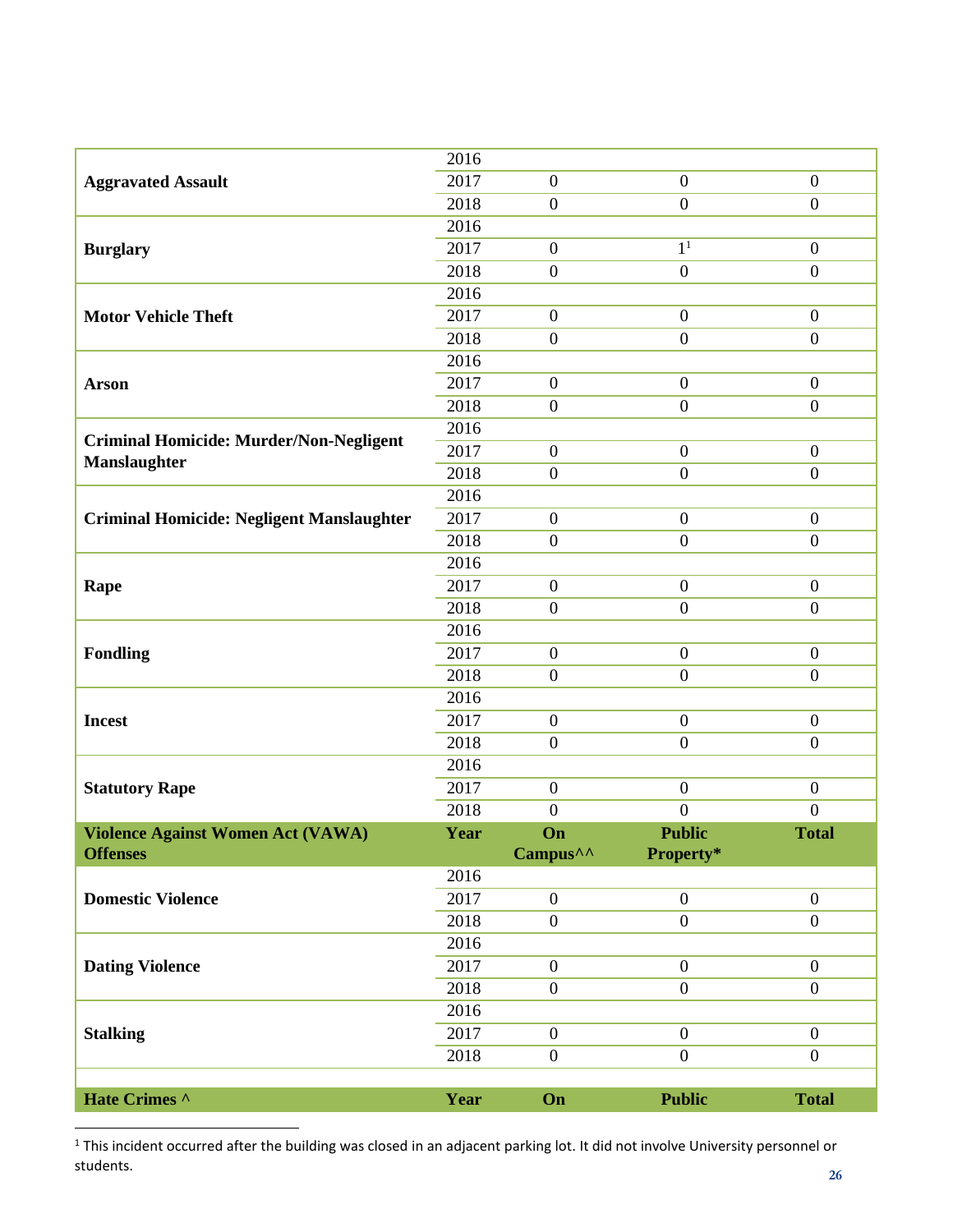|                                                  | 2016 |                      |                  |                  |
|--------------------------------------------------|------|----------------------|------------------|------------------|
| <b>Aggravated Assault</b>                        | 2017 | $\boldsymbol{0}$     | $\boldsymbol{0}$ | $\boldsymbol{0}$ |
|                                                  | 2018 | $\boldsymbol{0}$     | $\boldsymbol{0}$ | $\boldsymbol{0}$ |
|                                                  | 2016 |                      |                  |                  |
| <b>Burglary</b>                                  | 2017 | $\boldsymbol{0}$     | 1 <sup>1</sup>   | $\boldsymbol{0}$ |
|                                                  | 2018 | $\boldsymbol{0}$     | $\boldsymbol{0}$ | $\boldsymbol{0}$ |
|                                                  | 2016 |                      |                  |                  |
| <b>Motor Vehicle Theft</b>                       | 2017 | $\boldsymbol{0}$     | $\boldsymbol{0}$ | $\boldsymbol{0}$ |
|                                                  | 2018 | $\boldsymbol{0}$     | $\boldsymbol{0}$ | $\boldsymbol{0}$ |
|                                                  | 2016 |                      |                  |                  |
| <b>Arson</b>                                     | 2017 | $\boldsymbol{0}$     | $\boldsymbol{0}$ | $\boldsymbol{0}$ |
|                                                  | 2018 | $\boldsymbol{0}$     | $\boldsymbol{0}$ | $\boldsymbol{0}$ |
|                                                  | 2016 |                      |                  |                  |
| <b>Criminal Homicide: Murder/Non-Negligent</b>   | 2017 | $\boldsymbol{0}$     | $\boldsymbol{0}$ | $\boldsymbol{0}$ |
| <b>Manslaughter</b>                              | 2018 | $\boldsymbol{0}$     | $\boldsymbol{0}$ | $\boldsymbol{0}$ |
|                                                  | 2016 |                      |                  |                  |
| <b>Criminal Homicide: Negligent Manslaughter</b> | 2017 | $\boldsymbol{0}$     | $\boldsymbol{0}$ | $\boldsymbol{0}$ |
|                                                  | 2018 | $\boldsymbol{0}$     | $\overline{0}$   | $\overline{0}$   |
|                                                  | 2016 |                      |                  |                  |
| Rape                                             | 2017 | $\boldsymbol{0}$     | $\boldsymbol{0}$ | $\overline{0}$   |
|                                                  | 2018 | $\boldsymbol{0}$     | $\boldsymbol{0}$ | $\boldsymbol{0}$ |
|                                                  | 2016 |                      |                  |                  |
| <b>Fondling</b>                                  | 2017 | $\mathbf{0}$         | $\boldsymbol{0}$ | $\boldsymbol{0}$ |
|                                                  | 2018 | $\boldsymbol{0}$     | $\boldsymbol{0}$ | $\boldsymbol{0}$ |
|                                                  | 2016 |                      |                  |                  |
| <b>Incest</b>                                    | 2017 | $\boldsymbol{0}$     | $\boldsymbol{0}$ | $\boldsymbol{0}$ |
|                                                  | 2018 | $\boldsymbol{0}$     | $\boldsymbol{0}$ | $\boldsymbol{0}$ |
|                                                  | 2016 |                      |                  |                  |
| <b>Statutory Rape</b>                            | 2017 | $\boldsymbol{0}$     | $\boldsymbol{0}$ | $\boldsymbol{0}$ |
|                                                  | 2018 | $\boldsymbol{0}$     | $\boldsymbol{0}$ | $\boldsymbol{0}$ |
| Violence Against Women Act (VAWA)                | Year | On                   | <b>Public</b>    | <b>Total</b>     |
| <b>Offenses</b>                                  |      | Campus <sup>^^</sup> | Property*        |                  |
|                                                  | 2016 |                      |                  |                  |
| <b>Domestic Violence</b>                         | 2017 | $\boldsymbol{0}$     | $\boldsymbol{0}$ | $\boldsymbol{0}$ |
|                                                  | 2018 | $\boldsymbol{0}$     | $\boldsymbol{0}$ | $\overline{0}$   |
|                                                  | 2016 |                      |                  |                  |
| <b>Dating Violence</b>                           | 2017 | $\boldsymbol{0}$     | $\boldsymbol{0}$ | $\overline{0}$   |
|                                                  | 2018 | $\overline{0}$       | $\boldsymbol{0}$ | $\overline{0}$   |
|                                                  | 2016 |                      |                  |                  |
| <b>Stalking</b>                                  | 2017 | $\boldsymbol{0}$     | $\boldsymbol{0}$ | $\overline{0}$   |
|                                                  | 2018 | $\boldsymbol{0}$     | $\boldsymbol{0}$ | $\overline{0}$   |
|                                                  |      |                      |                  |                  |
| Hate Crimes ^                                    | Year | On                   | <b>Public</b>    | <b>Total</b>     |

 $^1$ This incident occurred after the building was closed in an adjacent parking lot. It did not involve University personnel or students.

 $\overline{\phantom{a}}$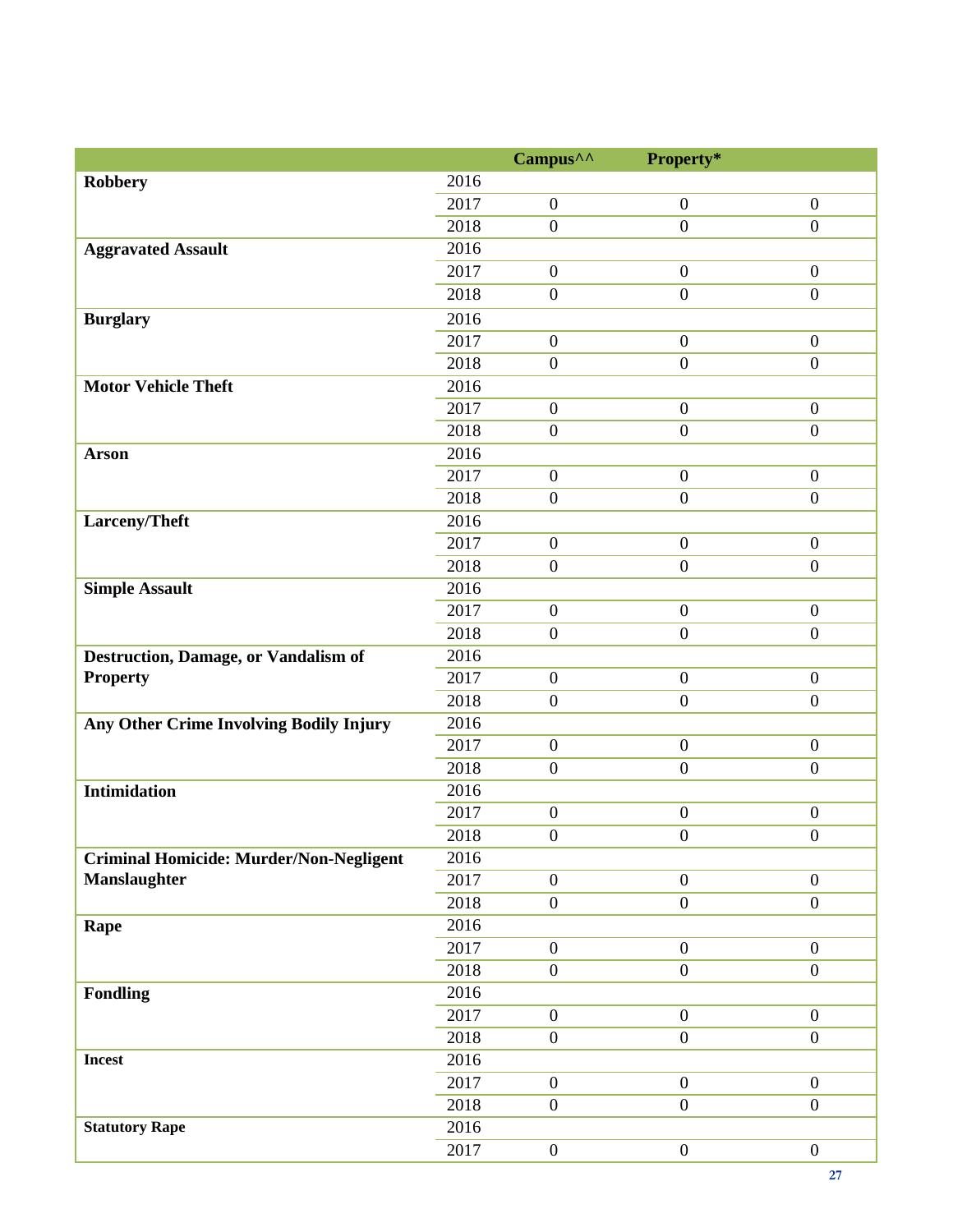|                                                |      | Campus <sup>^^</sup> | Property*        |                  |
|------------------------------------------------|------|----------------------|------------------|------------------|
| <b>Robbery</b>                                 | 2016 |                      |                  |                  |
|                                                | 2017 | $\boldsymbol{0}$     | $\boldsymbol{0}$ | $\overline{0}$   |
|                                                | 2018 | $\boldsymbol{0}$     | $\overline{0}$   | $\overline{0}$   |
| <b>Aggravated Assault</b>                      | 2016 |                      |                  |                  |
|                                                | 2017 | $\boldsymbol{0}$     | $\mathbf{0}$     | $\overline{0}$   |
|                                                | 2018 | $\boldsymbol{0}$     | $\boldsymbol{0}$ | $\boldsymbol{0}$ |
| <b>Burglary</b>                                | 2016 |                      |                  |                  |
|                                                | 2017 | $\boldsymbol{0}$     | $\boldsymbol{0}$ | $\overline{0}$   |
|                                                | 2018 | $\boldsymbol{0}$     | $\boldsymbol{0}$ | $\overline{0}$   |
| <b>Motor Vehicle Theft</b>                     | 2016 |                      |                  |                  |
|                                                | 2017 | $\boldsymbol{0}$     | $\boldsymbol{0}$ | $\overline{0}$   |
|                                                | 2018 | $\boldsymbol{0}$     | $\overline{0}$   | $\overline{0}$   |
| <b>Arson</b>                                   | 2016 |                      |                  |                  |
|                                                | 2017 | $\boldsymbol{0}$     | $\mathbf{0}$     | $\overline{0}$   |
|                                                | 2018 | $\boldsymbol{0}$     | $\boldsymbol{0}$ | $\boldsymbol{0}$ |
| Larceny/Theft                                  | 2016 |                      |                  |                  |
|                                                | 2017 | $\boldsymbol{0}$     | $\boldsymbol{0}$ | $\overline{0}$   |
|                                                | 2018 | $\overline{0}$       | $\overline{0}$   | $\overline{0}$   |
| <b>Simple Assault</b>                          | 2016 |                      |                  |                  |
|                                                | 2017 | $\boldsymbol{0}$     | $\boldsymbol{0}$ | $\mathbf{0}$     |
|                                                | 2018 | $\boldsymbol{0}$     | $\boldsymbol{0}$ | $\mathbf{0}$     |
| Destruction, Damage, or Vandalism of           | 2016 |                      |                  |                  |
| <b>Property</b>                                | 2017 | $\boldsymbol{0}$     | $\boldsymbol{0}$ | $\mathbf{0}$     |
|                                                | 2018 | $\boldsymbol{0}$     | $\overline{0}$   | $\overline{0}$   |
| Any Other Crime Involving Bodily Injury        | 2016 |                      |                  |                  |
|                                                | 2017 | $\boldsymbol{0}$     | $\boldsymbol{0}$ | $\mathbf{0}$     |
|                                                | 2018 | $\boldsymbol{0}$     | $\overline{0}$   | $\overline{0}$   |
| <b>Intimidation</b>                            | 2016 |                      |                  |                  |
|                                                | 2017 | $\boldsymbol{0}$     | $\boldsymbol{0}$ | $\boldsymbol{0}$ |
|                                                | 2018 | $\boldsymbol{0}$     | $\boldsymbol{0}$ | $\boldsymbol{0}$ |
| <b>Criminal Homicide: Murder/Non-Negligent</b> | 2016 |                      |                  |                  |
| <b>Manslaughter</b>                            | 2017 | $\boldsymbol{0}$     | $\boldsymbol{0}$ | $\overline{0}$   |
|                                                | 2018 | $\boldsymbol{0}$     | $\boldsymbol{0}$ | $\mathbf{0}$     |
| Rape                                           | 2016 |                      |                  |                  |
|                                                | 2017 | $\boldsymbol{0}$     | $\boldsymbol{0}$ | $\mathbf{0}$     |
|                                                | 2018 | $\boldsymbol{0}$     | $\boldsymbol{0}$ | $\boldsymbol{0}$ |
| <b>Fondling</b>                                | 2016 |                      |                  |                  |
|                                                | 2017 | $\boldsymbol{0}$     | $\boldsymbol{0}$ | $\overline{0}$   |
|                                                | 2018 | $\boldsymbol{0}$     | $\mathbf{0}$     | $\overline{0}$   |
| <b>Incest</b>                                  | 2016 |                      |                  |                  |
|                                                | 2017 | $\boldsymbol{0}$     | $\boldsymbol{0}$ | $\mathbf{0}$     |
|                                                | 2018 | $\boldsymbol{0}$     | $\boldsymbol{0}$ | $\boldsymbol{0}$ |
| <b>Statutory Rape</b>                          | 2016 |                      |                  |                  |
|                                                | 2017 | $\boldsymbol{0}$     | $\boldsymbol{0}$ | $\mathbf{0}$     |